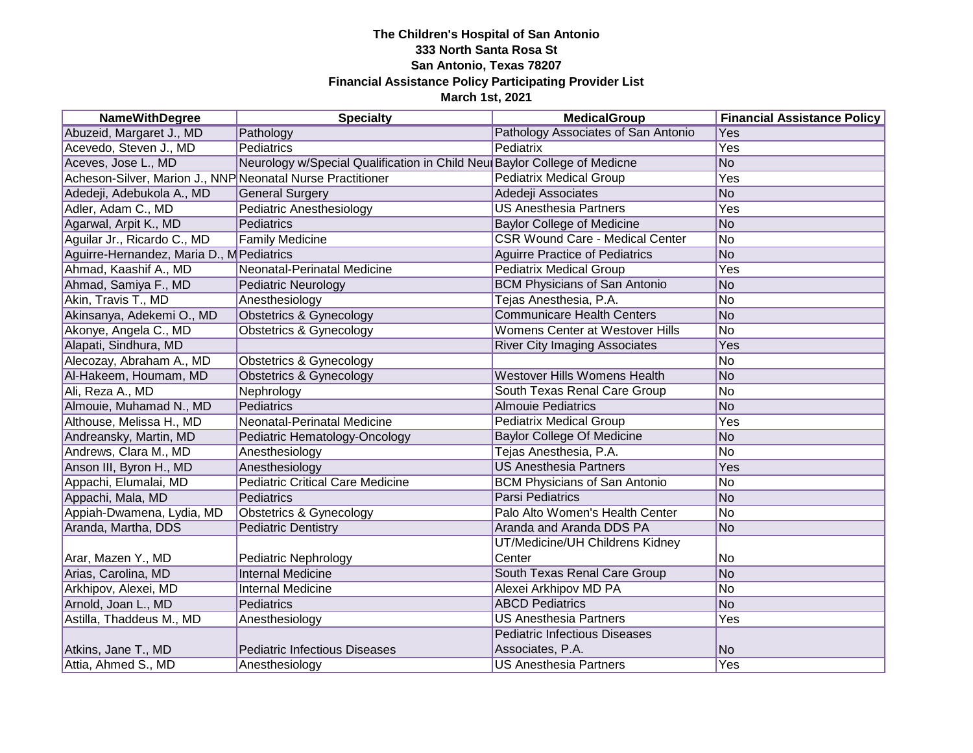| <b>NameWithDegree</b>                                      | <b>Specialty</b>                                                         | <b>MedicalGroup</b>                    | <b>Financial Assistance Policy</b> |
|------------------------------------------------------------|--------------------------------------------------------------------------|----------------------------------------|------------------------------------|
| Abuzeid, Margaret J., MD                                   | Pathology                                                                | Pathology Associates of San Antonio    | Yes                                |
| Acevedo, Steven J., MD                                     | Pediatrics                                                               | Pediatrix                              | Yes                                |
| Aceves, Jose L., MD                                        | Neurology w/Special Qualification in Child Neu Baylor College of Medicne |                                        | <b>No</b>                          |
| Acheson-Silver, Marion J., NNP Neonatal Nurse Practitioner |                                                                          | <b>Pediatrix Medical Group</b>         | Yes                                |
| Adedeji, Adebukola A., MD                                  | <b>General Surgery</b>                                                   | Adedeji Associates                     | <b>No</b>                          |
| Adler, Adam C., MD                                         | Pediatric Anesthesiology                                                 | <b>US Anesthesia Partners</b>          | Yes                                |
| Agarwal, Arpit K., MD                                      | Pediatrics                                                               | <b>Baylor College of Medicine</b>      | <b>No</b>                          |
| Aguilar Jr., Ricardo C., MD                                | <b>Family Medicine</b>                                                   | <b>CSR Wound Care - Medical Center</b> | No                                 |
| Aguirre-Hernandez, Maria D., M Pediatrics                  |                                                                          | <b>Aguirre Practice of Pediatrics</b>  | <b>No</b>                          |
| Ahmad, Kaashif A., MD                                      | Neonatal-Perinatal Medicine                                              | <b>Pediatrix Medical Group</b>         | Yes                                |
| Ahmad, Samiya F., MD                                       | <b>Pediatric Neurology</b>                                               | <b>BCM Physicians of San Antonio</b>   | <b>No</b>                          |
| Akin, Travis T., MD                                        | Anesthesiology                                                           | Tejas Anesthesia, P.A.                 | No                                 |
| Akinsanya, Adekemi O., MD                                  | <b>Obstetrics &amp; Gynecology</b>                                       | <b>Communicare Health Centers</b>      | No                                 |
| Akonye, Angela C., MD                                      | <b>Obstetrics &amp; Gynecology</b>                                       | Womens Center at Westover Hills        | No                                 |
| Alapati, Sindhura, MD                                      |                                                                          | <b>River City Imaging Associates</b>   | Yes                                |
| Alecozay, Abraham A., MD                                   | <b>Obstetrics &amp; Gynecology</b>                                       |                                        | <b>No</b>                          |
| Al-Hakeem, Houmam, MD                                      | <b>Obstetrics &amp; Gynecology</b>                                       | <b>Westover Hills Womens Health</b>    | No                                 |
| Ali, Reza A., MD                                           | Nephrology                                                               | South Texas Renal Care Group           | No                                 |
| Almouie, Muhamad N., MD                                    | Pediatrics                                                               | <b>Almouie Pediatrics</b>              | No                                 |
| Althouse, Melissa H., MD                                   | Neonatal-Perinatal Medicine                                              | <b>Pediatrix Medical Group</b>         | Yes                                |
| Andreansky, Martin, MD                                     | Pediatric Hematology-Oncology                                            | <b>Baylor College Of Medicine</b>      | No                                 |
| Andrews, Clara M., MD                                      | Anesthesiology                                                           | Tejas Anesthesia, P.A.                 | No                                 |
| Anson III, Byron H., MD                                    | Anesthesiology                                                           | <b>US Anesthesia Partners</b>          | Yes                                |
| Appachi, Elumalai, MD                                      | <b>Pediatric Critical Care Medicine</b>                                  | <b>BCM Physicians of San Antonio</b>   | <b>No</b>                          |
| Appachi, Mala, MD                                          | Pediatrics                                                               | <b>Parsi Pediatrics</b>                | No                                 |
| Appiah-Dwamena, Lydia, MD                                  | <b>Obstetrics &amp; Gynecology</b>                                       | Palo Alto Women's Health Center        | N <sub>o</sub>                     |
| Aranda, Martha, DDS                                        | <b>Pediatric Dentistry</b>                                               | Aranda and Aranda DDS PA               | No                                 |
|                                                            |                                                                          | UT/Medicine/UH Childrens Kidney        |                                    |
| Arar, Mazen Y., MD                                         | Pediatric Nephrology                                                     | Center                                 | No                                 |
| Arias, Carolina, MD                                        | <b>Internal Medicine</b>                                                 | South Texas Renal Care Group           | No                                 |
| Arkhipov, Alexei, MD                                       | <b>Internal Medicine</b>                                                 | Alexei Arkhipov MD PA                  | No                                 |
| Arnold, Joan L., MD                                        | Pediatrics                                                               | <b>ABCD Pediatrics</b>                 | N <sub>o</sub>                     |
| Astilla, Thaddeus M., MD                                   | Anesthesiology                                                           | <b>US Anesthesia Partners</b>          | Yes                                |
|                                                            |                                                                          | <b>Pediatric Infectious Diseases</b>   |                                    |
| Atkins, Jane T., MD                                        | <b>Pediatric Infectious Diseases</b>                                     | Associates, P.A.                       | No                                 |
| Attia, Ahmed S., MD                                        | Anesthesiology                                                           | <b>US</b> Anesthesia Partners          | Yes                                |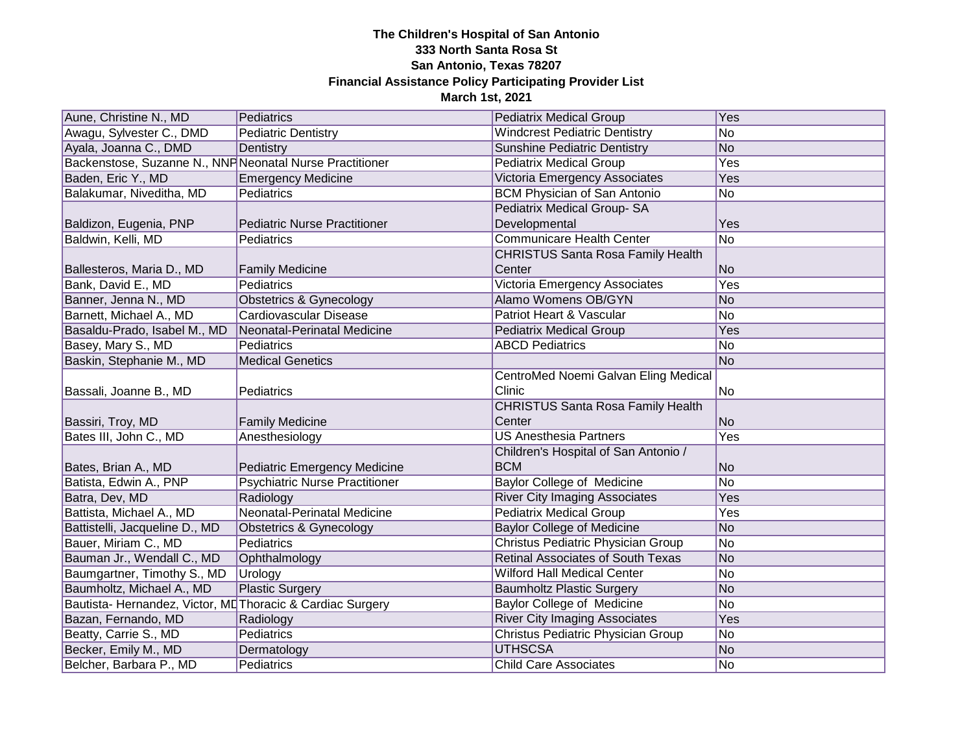| Aune, Christine N., MD                                    | Pediatrics                            | <b>Pediatrix Medical Group</b>           | Yes       |
|-----------------------------------------------------------|---------------------------------------|------------------------------------------|-----------|
| Awagu, Sylvester C., DMD                                  | Pediatric Dentistry                   | <b>Windcrest Pediatric Dentistry</b>     | No        |
| Ayala, Joanna C., DMD                                     | Dentistry                             | <b>Sunshine Pediatric Dentistry</b>      | No        |
| Backenstose, Suzanne N., NNF Neonatal Nurse Practitioner  |                                       | <b>Pediatrix Medical Group</b>           | Yes       |
| Baden, Eric Y., MD                                        | <b>Emergency Medicine</b>             | Victoria Emergency Associates            | Yes       |
| Balakumar, Niveditha, MD                                  | Pediatrics                            | <b>BCM Physician of San Antonio</b>      | No        |
|                                                           |                                       | <b>Pediatrix Medical Group-SA</b>        |           |
| Baldizon, Eugenia, PNP                                    | <b>Pediatric Nurse Practitioner</b>   | Developmental                            | Yes       |
| Baldwin, Kelli, MD                                        | Pediatrics                            | <b>Communicare Health Center</b>         | No        |
|                                                           |                                       | <b>CHRISTUS Santa Rosa Family Health</b> |           |
| Ballesteros, Maria D., MD                                 | <b>Family Medicine</b>                | Center                                   | No        |
| Bank, David E., MD                                        | Pediatrics                            | Victoria Emergency Associates            | Yes       |
| Banner, Jenna N., MD                                      | Obstetrics & Gynecology               | Alamo Womens OB/GYN                      | <b>No</b> |
| Barnett, Michael A., MD                                   | Cardiovascular Disease                | Patriot Heart & Vascular                 | No        |
| Basaldu-Prado, Isabel M., MD                              | Neonatal-Perinatal Medicine           | <b>Pediatrix Medical Group</b>           | Yes       |
| Basey, Mary S., MD                                        | Pediatrics                            | <b>ABCD Pediatrics</b>                   | No        |
| Baskin, Stephanie M., MD                                  | <b>Medical Genetics</b>               |                                          | No        |
|                                                           |                                       | CentroMed Noemi Galvan Eling Medical     |           |
| Bassali, Joanne B., MD                                    | Pediatrics                            | Clinic                                   | No        |
|                                                           |                                       | <b>CHRISTUS Santa Rosa Family Health</b> |           |
| Bassiri, Troy, MD                                         | <b>Family Medicine</b>                | Center                                   | No        |
| Bates III, John C., MD                                    | Anesthesiology                        | <b>US Anesthesia Partners</b>            | Yes       |
|                                                           |                                       | Children's Hospital of San Antonio /     |           |
| Bates, Brian A., MD                                       | <b>Pediatric Emergency Medicine</b>   | <b>BCM</b>                               | No        |
| Batista, Edwin A., PNP                                    | <b>Psychiatric Nurse Practitioner</b> | <b>Baylor College of Medicine</b>        | No        |
| Batra, Dev, MD                                            | Radiology                             | <b>River City Imaging Associates</b>     | Yes       |
| Battista, Michael A., MD                                  | Neonatal-Perinatal Medicine           | <b>Pediatrix Medical Group</b>           | Yes       |
| Battistelli, Jacqueline D., MD                            | <b>Obstetrics &amp; Gynecology</b>    | <b>Baylor College of Medicine</b>        | No        |
| Bauer, Miriam C., MD                                      | Pediatrics                            | Christus Pediatric Physician Group       | No        |
| Bauman Jr., Wendall C., MD                                | Ophthalmology                         | <b>Retinal Associates of South Texas</b> | No        |
| Baumgartner, Timothy S., MD                               | Urology                               | <b>Wilford Hall Medical Center</b>       | No        |
| Baumholtz, Michael A., MD                                 | <b>Plastic Surgery</b>                | <b>Baumholtz Plastic Surgery</b>         | No        |
| Bautista-Hernandez, Victor, ML Thoracic & Cardiac Surgery |                                       | <b>Baylor College of Medicine</b>        | No        |
| Bazan, Fernando, MD                                       | Radiology                             | <b>River City Imaging Associates</b>     | Yes       |
| Beatty, Carrie S., MD                                     | Pediatrics                            | Christus Pediatric Physician Group       | No        |
| Becker, Emily M., MD                                      | Dermatology                           | <b>UTHSCSA</b>                           | No        |
| Belcher, Barbara P., MD                                   | Pediatrics                            | <b>Child Care Associates</b>             | No        |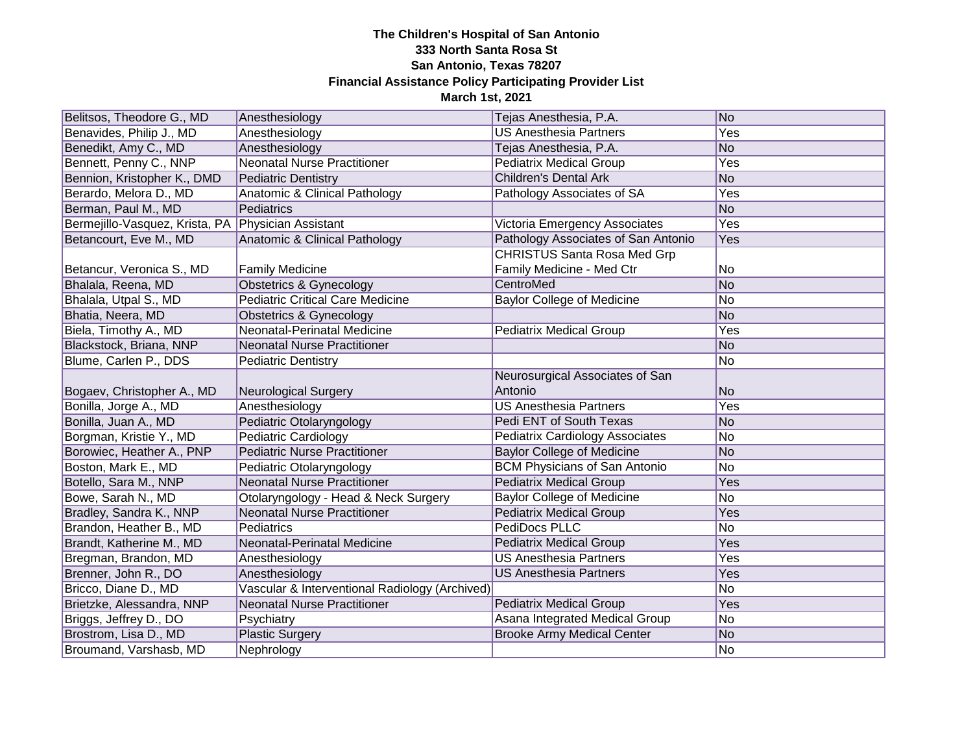| Belitsos, Theodore G., MD      | Anesthesiology                                 | Tejas Anesthesia, P.A.                 | No             |
|--------------------------------|------------------------------------------------|----------------------------------------|----------------|
| Benavides, Philip J., MD       | Anesthesiology                                 | <b>US Anesthesia Partners</b>          | Yes            |
| Benedikt, Amy C., MD           | Anesthesiology                                 | Tejas Anesthesia, P.A.                 | <b>No</b>      |
| Bennett, Penny C., NNP         | <b>Neonatal Nurse Practitioner</b>             | <b>Pediatrix Medical Group</b>         | Yes            |
| Bennion, Kristopher K., DMD    | <b>Pediatric Dentistry</b>                     | <b>Children's Dental Ark</b>           | <b>No</b>      |
| Berardo, Melora D., MD         | Anatomic & Clinical Pathology                  | Pathology Associates of SA             | Yes            |
| Berman, Paul M., MD            | Pediatrics                                     |                                        | <b>No</b>      |
| Bermejillo-Vasquez, Krista, PA | <b>Physician Assistant</b>                     | Victoria Emergency Associates          | Yes            |
| Betancourt, Eve M., MD         | Anatomic & Clinical Pathology                  | Pathology Associates of San Antonio    | Yes            |
|                                |                                                | <b>CHRISTUS Santa Rosa Med Grp</b>     |                |
| Betancur, Veronica S., MD      | <b>Family Medicine</b>                         | Family Medicine - Med Ctr              | No             |
| Bhalala, Reena, MD             | <b>Obstetrics &amp; Gynecology</b>             | CentroMed                              | <b>No</b>      |
| Bhalala, Utpal S., MD          | <b>Pediatric Critical Care Medicine</b>        | <b>Baylor College of Medicine</b>      | <b>No</b>      |
| Bhatia, Neera, MD              | <b>Obstetrics &amp; Gynecology</b>             |                                        | No             |
| Biela, Timothy A., MD          | Neonatal-Perinatal Medicine                    | <b>Pediatrix Medical Group</b>         | Yes            |
| Blackstock, Briana, NNP        | <b>Neonatal Nurse Practitioner</b>             |                                        | N <sub>o</sub> |
| Blume, Carlen P., DDS          | <b>Pediatric Dentistry</b>                     |                                        | No             |
|                                |                                                | Neurosurgical Associates of San        |                |
| Bogaev, Christopher A., MD     | Neurological Surgery                           | Antonio                                | <b>No</b>      |
| Bonilla, Jorge A., MD          | Anesthesiology                                 | <b>US Anesthesia Partners</b>          | Yes            |
| Bonilla, Juan A., MD           | Pediatric Otolaryngology                       | Pedi ENT of South Texas                | N <sub>o</sub> |
| Borgman, Kristie Y., MD        | Pediatric Cardiology                           | <b>Pediatrix Cardiology Associates</b> | No             |
| Borowiec, Heather A., PNP      | <b>Pediatric Nurse Practitioner</b>            | <b>Baylor College of Medicine</b>      | No             |
| Boston, Mark E., MD            | Pediatric Otolaryngology                       | <b>BCM Physicians of San Antonio</b>   | <b>No</b>      |
| Botello, Sara M., NNP          | <b>Neonatal Nurse Practitioner</b>             | <b>Pediatrix Medical Group</b>         | Yes            |
| Bowe, Sarah N., MD             | Otolaryngology - Head & Neck Surgery           | <b>Baylor College of Medicine</b>      | No             |
| Bradley, Sandra K., NNP        | <b>Neonatal Nurse Practitioner</b>             | <b>Pediatrix Medical Group</b>         | Yes            |
| Brandon, Heather B., MD        | Pediatrics                                     | <b>PediDocs PLLC</b>                   | No             |
| Brandt, Katherine M., MD       | Neonatal-Perinatal Medicine                    | <b>Pediatrix Medical Group</b>         | Yes            |
| Bregman, Brandon, MD           | Anesthesiology                                 | <b>US Anesthesia Partners</b>          | Yes            |
| Brenner, John R., DO           | Anesthesiology                                 | <b>US Anesthesia Partners</b>          | Yes            |
| Bricco, Diane D., MD           | Vascular & Interventional Radiology (Archived) |                                        | <b>No</b>      |
| Brietzke, Alessandra, NNP      | Neonatal Nurse Practitioner                    | <b>Pediatrix Medical Group</b>         | Yes            |
| Briggs, Jeffrey D., DO         | Psychiatry                                     | Asana Integrated Medical Group         | No             |
| Brostrom, Lisa D., MD          | <b>Plastic Surgery</b>                         | <b>Brooke Army Medical Center</b>      | No             |
| Broumand, Varshasb, MD         | Nephrology                                     |                                        | No             |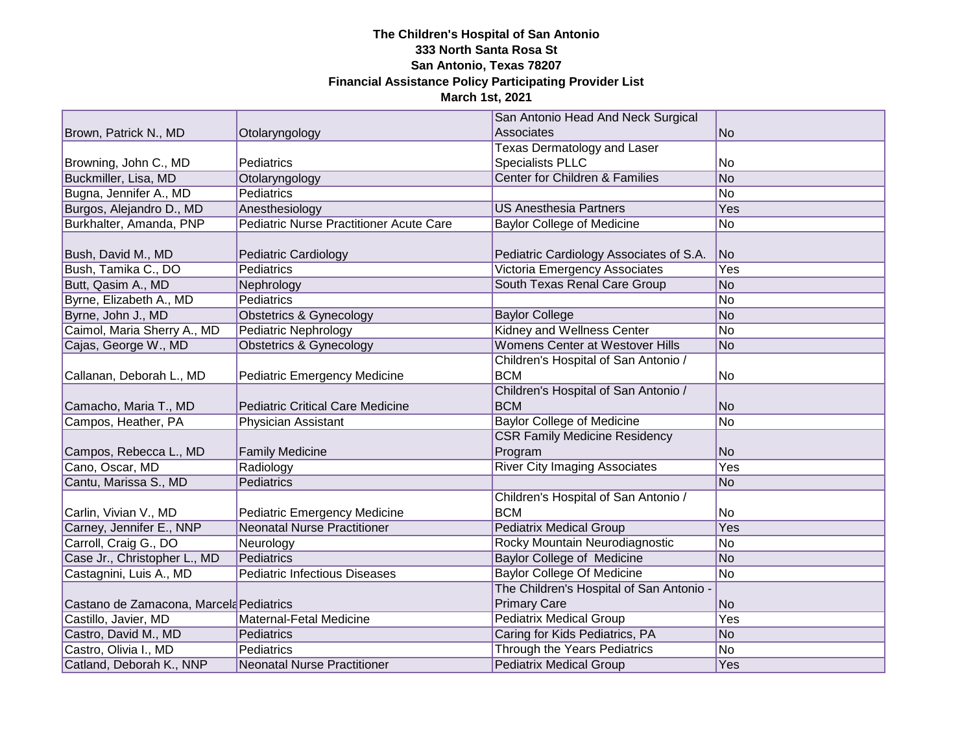|                                         |                                         | San Antonio Head And Neck Surgical       |            |
|-----------------------------------------|-----------------------------------------|------------------------------------------|------------|
| Brown, Patrick N., MD                   | Otolaryngology                          | Associates                               | <b>No</b>  |
|                                         |                                         | <b>Texas Dermatology and Laser</b>       |            |
| Browning, John C., MD                   | Pediatrics                              | <b>Specialists PLLC</b>                  | No         |
| Buckmiller, Lisa, MD                    | Otolaryngology                          | Center for Children & Families           | <b>No</b>  |
| Bugna, Jennifer A., MD                  | Pediatrics                              |                                          | <b>No</b>  |
| Burgos, Alejandro D., MD                | Anesthesiology                          | <b>US Anesthesia Partners</b>            | Yes        |
| Burkhalter, Amanda, PNP                 | Pediatric Nurse Practitioner Acute Care | <b>Baylor College of Medicine</b>        | No         |
|                                         |                                         |                                          |            |
| Bush, David M., MD                      | Pediatric Cardiology                    | Pediatric Cardiology Associates of S.A.  | <b>No</b>  |
| Bush, Tamika C., DO                     | Pediatrics                              | Victoria Emergency Associates            | Yes        |
| Butt, Qasim A., MD                      | Nephrology                              | South Texas Renal Care Group             | <b>No</b>  |
| Byrne, Elizabeth A., MD                 | Pediatrics                              |                                          | No         |
| Byrne, John J., MD                      | <b>Obstetrics &amp; Gynecology</b>      | <b>Baylor College</b>                    | <b>No</b>  |
| Caimol, Maria Sherry A., MD             | <b>Pediatric Nephrology</b>             | <b>Kidney and Wellness Center</b>        | No         |
| Cajas, George W., MD                    | <b>Obstetrics &amp; Gynecology</b>      | <b>Womens Center at Westover Hills</b>   | <b>No</b>  |
|                                         |                                         | Children's Hospital of San Antonio /     |            |
| Callanan, Deborah L., MD                | <b>Pediatric Emergency Medicine</b>     | <b>BCM</b>                               | No         |
|                                         |                                         | Children's Hospital of San Antonio /     |            |
| Camacho, Maria T., MD                   | <b>Pediatric Critical Care Medicine</b> | <b>BCM</b>                               | <b>No</b>  |
| Campos, Heather, PA                     | <b>Physician Assistant</b>              | <b>Baylor College of Medicine</b>        | <b>No</b>  |
|                                         |                                         | <b>CSR Family Medicine Residency</b>     |            |
| Campos, Rebecca L., MD                  | <b>Family Medicine</b>                  | Program                                  | <b>No</b>  |
| Cano, Oscar, MD                         | Radiology                               | <b>River City Imaging Associates</b>     | Yes        |
| Cantu, Marissa S., MD                   | Pediatrics                              |                                          | <b>No</b>  |
|                                         |                                         | Children's Hospital of San Antonio /     |            |
| Carlin, Vivian V., MD                   | Pediatric Emergency Medicine            | <b>BCM</b>                               | No         |
| Carney, Jennifer E., NNP                | <b>Neonatal Nurse Practitioner</b>      | <b>Pediatrix Medical Group</b>           | <b>Yes</b> |
| Carroll, Craig G., DO                   | Neurology                               | Rocky Mountain Neurodiagnostic           | No         |
| Case Jr., Christopher L., MD            | Pediatrics                              | <b>Baylor College of Medicine</b>        | <b>No</b>  |
| Castagnini, Luis A., MD                 | <b>Pediatric Infectious Diseases</b>    | <b>Baylor College Of Medicine</b>        | No         |
|                                         |                                         | The Children's Hospital of San Antonio - |            |
| Castano de Zamacona, Marcela Pediatrics |                                         | <b>Primary Care</b>                      | <b>No</b>  |
| Castillo, Javier, MD                    | Maternal-Fetal Medicine                 | <b>Pediatrix Medical Group</b>           | Yes        |
| Castro, David M., MD                    | Pediatrics                              | Caring for Kids Pediatrics, PA           | <b>No</b>  |
| Castro, Olivia I., MD                   | Pediatrics                              | Through the Years Pediatrics             | <b>No</b>  |
| Catland, Deborah K., NNP                | <b>Neonatal Nurse Practitioner</b>      | <b>Pediatrix Medical Group</b>           | Yes        |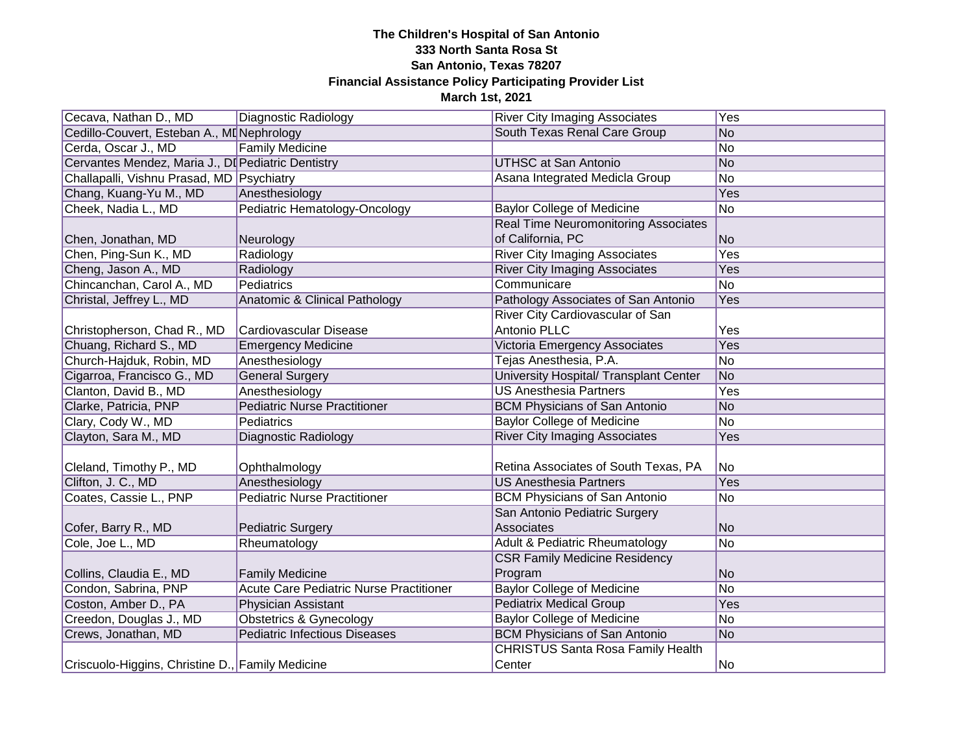| Cecava, Nathan D., MD                              | Diagnostic Radiology                    | <b>River City Imaging Associates</b>        | Yes            |
|----------------------------------------------------|-----------------------------------------|---------------------------------------------|----------------|
| Cedillo-Couvert, Esteban A., MI Nephrology         |                                         | South Texas Renal Care Group                | No             |
| Cerda, Oscar J., MD                                | <b>Family Medicine</b>                  |                                             | No             |
| Cervantes Mendez, Maria J., DI Pediatric Dentistry |                                         | <b>UTHSC at San Antonio</b>                 | No             |
| Challapalli, Vishnu Prasad, MD Psychiatry          |                                         | Asana Integrated Medicla Group              | No             |
| Chang, Kuang-Yu M., MD                             | Anesthesiology                          |                                             | Yes            |
| Cheek, Nadia L., MD                                | Pediatric Hematology-Oncology           | <b>Baylor College of Medicine</b>           | No             |
|                                                    |                                         | <b>Real Time Neuromonitoring Associates</b> |                |
| Chen, Jonathan, MD                                 | Neurology                               | of California, PC                           | No             |
| Chen, Ping-Sun K., MD                              | Radiology                               | <b>River City Imaging Associates</b>        | Yes            |
| Cheng, Jason A., MD                                | Radiology                               | <b>River City Imaging Associates</b>        | Yes            |
| Chincanchan, Carol A., MD                          | Pediatrics                              | Communicare                                 | No             |
| Christal, Jeffrey L., MD                           | Anatomic & Clinical Pathology           | Pathology Associates of San Antonio         | Yes            |
|                                                    |                                         | River City Cardiovascular of San            |                |
| Christopherson, Chad R., MD                        | Cardiovascular Disease                  | Antonio PLLC                                | Yes            |
| Chuang, Richard S., MD                             | <b>Emergency Medicine</b>               | Victoria Emergency Associates               | Yes            |
| Church-Hajduk, Robin, MD                           | Anesthesiology                          | Tejas Anesthesia, P.A.                      | No             |
| Cigarroa, Francisco G., MD                         | <b>General Surgery</b>                  | University Hospital/ Transplant Center      | N <sub>o</sub> |
| Clanton, David B., MD                              | Anesthesiology                          | <b>US Anesthesia Partners</b>               | Yes            |
| Clarke, Patricia, PNP                              | <b>Pediatric Nurse Practitioner</b>     | <b>BCM Physicians of San Antonio</b>        | No             |
| Clary, Cody W., MD                                 | Pediatrics                              | <b>Baylor College of Medicine</b>           | No             |
| Clayton, Sara M., MD                               | Diagnostic Radiology                    | <b>River City Imaging Associates</b>        | Yes            |
|                                                    |                                         |                                             |                |
| Cleland, Timothy P., MD                            | Ophthalmology                           | Retina Associates of South Texas, PA        | No             |
| Clifton, J. C., MD                                 | Anesthesiology                          | <b>US Anesthesia Partners</b>               | Yes            |
| Coates, Cassie L., PNP                             | <b>Pediatric Nurse Practitioner</b>     | <b>BCM Physicians of San Antonio</b>        | No             |
|                                                    |                                         | San Antonio Pediatric Surgery               |                |
| Cofer, Barry R., MD                                | Pediatric Surgery                       | Associates                                  | No             |
| Cole, Joe L., MD                                   | Rheumatology                            | <b>Adult &amp; Pediatric Rheumatology</b>   | No             |
|                                                    |                                         | <b>CSR Family Medicine Residency</b>        |                |
| Collins, Claudia E., MD                            | <b>Family Medicine</b>                  | Program                                     | No             |
| Condon, Sabrina, PNP                               | Acute Care Pediatric Nurse Practitioner | <b>Baylor College of Medicine</b>           | No             |
| Coston, Amber D., PA                               | Physician Assistant                     | <b>Pediatrix Medical Group</b>              | Yes            |
| Creedon, Douglas J., MD                            | <b>Obstetrics &amp; Gynecology</b>      | <b>Baylor College of Medicine</b>           | No             |
| Crews, Jonathan, MD                                | <b>Pediatric Infectious Diseases</b>    | <b>BCM Physicians of San Antonio</b>        | No             |
|                                                    |                                         | <b>CHRISTUS Santa Rosa Family Health</b>    |                |
| Criscuolo-Higgins, Christine D., Family Medicine   |                                         | Center                                      | No             |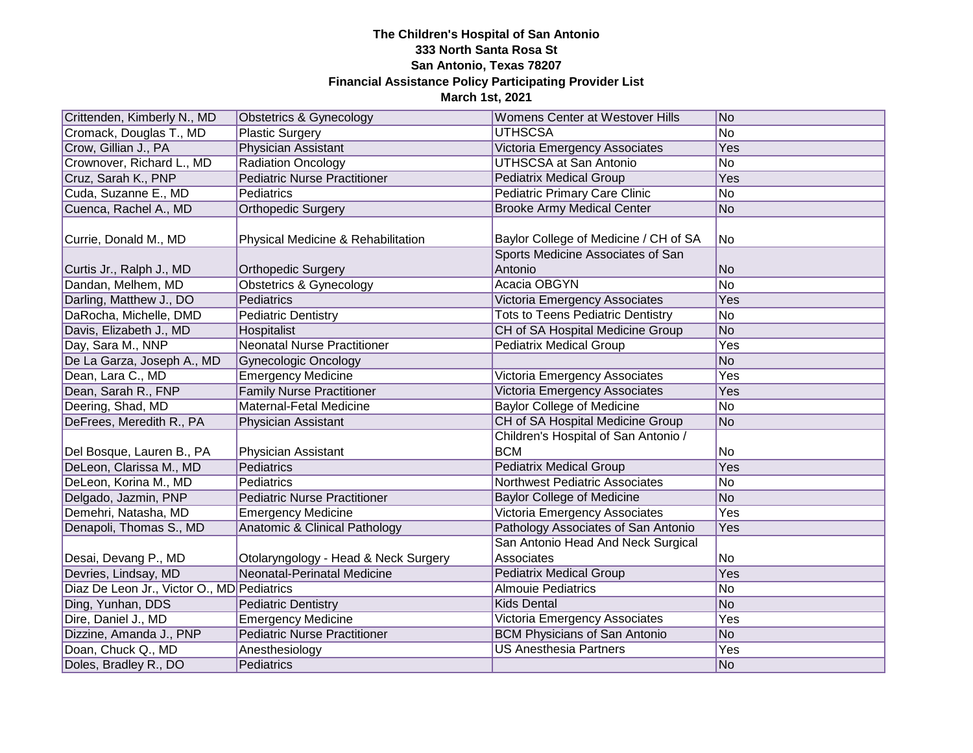| Crittenden, Kimberly N., MD                | Obstetrics & Gynecology              | Womens Center at Westover Hills                                            | No             |
|--------------------------------------------|--------------------------------------|----------------------------------------------------------------------------|----------------|
| Cromack, Douglas T., MD                    | <b>Plastic Surgery</b>               | <b>UTHSCSA</b>                                                             | No             |
| Crow, Gillian J., PA                       | <b>Physician Assistant</b>           | Victoria Emergency Associates                                              | Yes            |
| Crownover, Richard L., MD                  | <b>Radiation Oncology</b>            | <b>UTHSCSA at San Antonio</b>                                              | <b>No</b>      |
| Cruz, Sarah K., PNP                        | <b>Pediatric Nurse Practitioner</b>  | <b>Pediatrix Medical Group</b>                                             | Yes            |
| Cuda, Suzanne E., MD                       | Pediatrics                           | <b>Pediatric Primary Care Clinic</b>                                       | No             |
| Cuenca, Rachel A., MD                      | <b>Orthopedic Surgery</b>            | <b>Brooke Army Medical Center</b>                                          | <b>No</b>      |
| Currie, Donald M., MD                      | Physical Medicine & Rehabilitation   | Baylor College of Medicine / CH of SA<br>Sports Medicine Associates of San | No             |
| Curtis Jr., Ralph J., MD                   | <b>Orthopedic Surgery</b>            | Antonio                                                                    | <b>No</b>      |
| Dandan, Melhem, MD                         | <b>Obstetrics &amp; Gynecology</b>   | Acacia OBGYN                                                               | No             |
| Darling, Matthew J., DO                    | Pediatrics                           | Victoria Emergency Associates                                              | Yes            |
| DaRocha, Michelle, DMD                     | <b>Pediatric Dentistry</b>           | <b>Tots to Teens Pediatric Dentistry</b>                                   | No             |
| Davis, Elizabeth J., MD                    | Hospitalist                          | CH of SA Hospital Medicine Group                                           | <b>No</b>      |
| Day, Sara M., NNP                          | <b>Neonatal Nurse Practitioner</b>   | <b>Pediatrix Medical Group</b>                                             | Yes            |
| De La Garza, Joseph A., MD                 | <b>Gynecologic Oncology</b>          |                                                                            | <b>No</b>      |
| Dean, Lara C., MD                          | <b>Emergency Medicine</b>            | Victoria Emergency Associates                                              | Yes            |
| Dean, Sarah R., FNP                        | <b>Family Nurse Practitioner</b>     | Victoria Emergency Associates                                              | Yes            |
| Deering, Shad, MD                          | Maternal-Fetal Medicine              | <b>Baylor College of Medicine</b>                                          | No             |
| DeFrees, Meredith R., PA                   | Physician Assistant                  | CH of SA Hospital Medicine Group                                           | <b>No</b>      |
|                                            |                                      | Children's Hospital of San Antonio /                                       |                |
| Del Bosque, Lauren B., PA                  | Physician Assistant                  | <b>BCM</b>                                                                 | No             |
| DeLeon, Clarissa M., MD                    | <b>Pediatrics</b>                    | <b>Pediatrix Medical Group</b>                                             | Yes            |
| DeLeon, Korina M., MD                      | Pediatrics                           | <b>Northwest Pediatric Associates</b>                                      | No             |
| Delgado, Jazmin, PNP                       | <b>Pediatric Nurse Practitioner</b>  | <b>Baylor College of Medicine</b>                                          | <b>No</b>      |
| Demehri, Natasha, MD                       | <b>Emergency Medicine</b>            | <b>Victoria Emergency Associates</b>                                       | Yes            |
| Denapoli, Thomas S., MD                    | Anatomic & Clinical Pathology        | Pathology Associates of San Antonio                                        | Yes            |
| Desai, Devang P., MD                       | Otolaryngology - Head & Neck Surgery | San Antonio Head And Neck Surgical<br>Associates                           | No             |
| Devries, Lindsay, MD                       | Neonatal-Perinatal Medicine          | <b>Pediatrix Medical Group</b>                                             | Yes            |
| Diaz De Leon Jr., Victor O., MD Pediatrics |                                      | <b>Almouie Pediatrics</b>                                                  | <b>No</b>      |
| Ding, Yunhan, DDS                          | <b>Pediatric Dentistry</b>           | <b>Kids Dental</b>                                                         | <b>No</b>      |
| Dire, Daniel J., MD                        | <b>Emergency Medicine</b>            | Victoria Emergency Associates                                              | Yes            |
| Dizzine, Amanda J., PNP                    | <b>Pediatric Nurse Practitioner</b>  | <b>BCM Physicians of San Antonio</b>                                       | <b>No</b>      |
| Doan, Chuck Q., MD                         | Anesthesiology                       | <b>US Anesthesia Partners</b>                                              | Yes            |
| Doles, Bradley R., DO                      | Pediatrics                           |                                                                            | N <sub>o</sub> |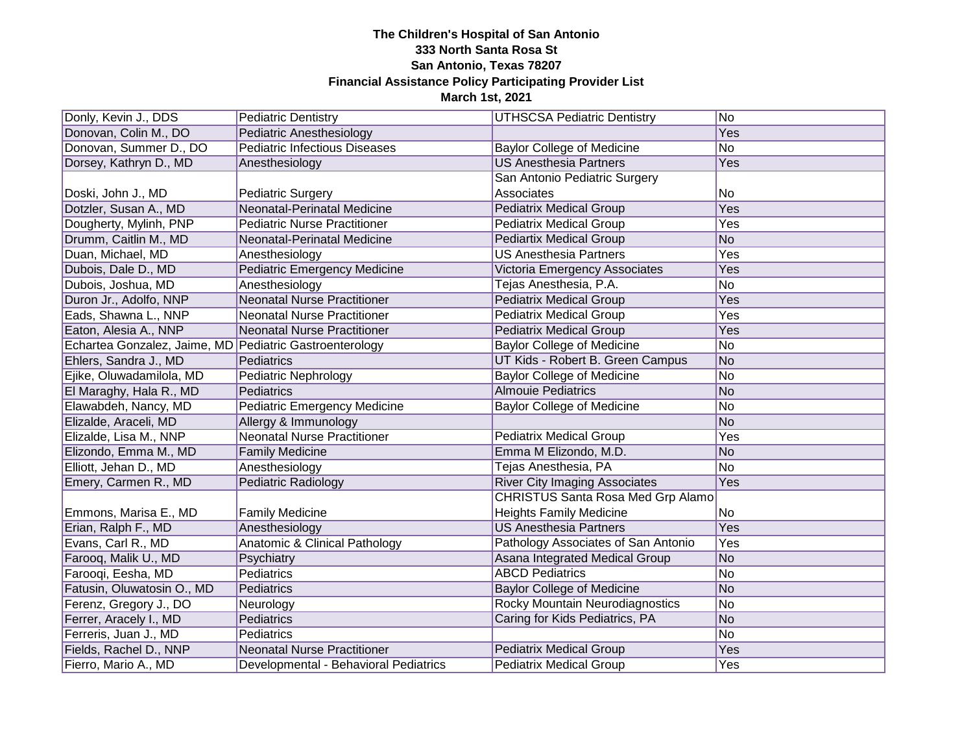| Donly, Kevin J., DDS                                    | <b>Pediatric Dentistry</b>               | <b>UTHSCSA Pediatric Dentistry</b>       | No             |
|---------------------------------------------------------|------------------------------------------|------------------------------------------|----------------|
| Donovan, Colin M., DO                                   | <b>Pediatric Anesthesiology</b>          |                                          | Yes            |
| Donovan, Summer D., DO                                  | <b>Pediatric Infectious Diseases</b>     | <b>Baylor College of Medicine</b>        | <b>No</b>      |
| Dorsey, Kathryn D., MD                                  | Anesthesiology                           | <b>US Anesthesia Partners</b>            | Yes            |
|                                                         |                                          | San Antonio Pediatric Surgery            |                |
| Doski, John J., MD                                      | <b>Pediatric Surgery</b>                 | Associates                               | No             |
| Dotzler, Susan A., MD                                   | Neonatal-Perinatal Medicine              | <b>Pediatrix Medical Group</b>           | Yes            |
| Dougherty, Mylinh, PNP                                  | <b>Pediatric Nurse Practitioner</b>      | <b>Pediatrix Medical Group</b>           | Yes            |
| Drumm, Caitlin M., MD                                   | Neonatal-Perinatal Medicine              | <b>Pediartix Medical Group</b>           | <b>No</b>      |
| Duan, Michael, MD                                       | Anesthesiology                           | <b>US Anesthesia Partners</b>            | Yes            |
| Dubois, Dale D., MD                                     | <b>Pediatric Emergency Medicine</b>      | Victoria Emergency Associates            | Yes            |
| Dubois, Joshua, MD                                      | Anesthesiology                           | Tejas Anesthesia, P.A.                   | No             |
| Duron Jr., Adolfo, NNP                                  | <b>Neonatal Nurse Practitioner</b>       | <b>Pediatrix Medical Group</b>           | Yes            |
| Eads, Shawna L., NNP                                    | <b>Neonatal Nurse Practitioner</b>       | <b>Pediatrix Medical Group</b>           | Yes            |
| Eaton, Alesia A., NNP                                   | <b>Neonatal Nurse Practitioner</b>       | <b>Pediatrix Medical Group</b>           | Yes            |
| Echartea Gonzalez, Jaime, MD Pediatric Gastroenterology |                                          | <b>Baylor College of Medicine</b>        | No             |
| Ehlers, Sandra J., MD                                   | Pediatrics                               | UT Kids - Robert B. Green Campus         | No             |
| Ejike, Oluwadamilola, MD                                | Pediatric Nephrology                     | <b>Baylor College of Medicine</b>        | No             |
| El Maraghy, Hala R., MD                                 | <b>Pediatrics</b>                        | <b>Almouie Pediatrics</b>                | <b>No</b>      |
| Elawabdeh, Nancy, MD                                    | <b>Pediatric Emergency Medicine</b>      | <b>Baylor College of Medicine</b>        | <b>No</b>      |
| Elizalde, Araceli, MD                                   | Allergy & Immunology                     |                                          | No             |
| Elizalde, Lisa M., NNP                                  | <b>Neonatal Nurse Practitioner</b>       | <b>Pediatrix Medical Group</b>           | Yes            |
| Elizondo, Emma M., MD                                   | <b>Family Medicine</b>                   | Emma M Elizondo, M.D.                    | N <sub>o</sub> |
| Elliott, Jehan D., MD                                   | Anesthesiology                           | Tejas Anesthesia, PA                     | <b>No</b>      |
| Emery, Carmen R., MD                                    | Pediatric Radiology                      | <b>River City Imaging Associates</b>     | Yes            |
|                                                         |                                          | <b>CHRISTUS Santa Rosa Med Grp Alamo</b> |                |
| Emmons, Marisa E., MD                                   | <b>Family Medicine</b>                   | <b>Heights Family Medicine</b>           | No             |
| Erian, Ralph F., MD                                     | Anesthesiology                           | <b>US Anesthesia Partners</b>            | <b>Yes</b>     |
| Evans, Carl R., MD                                      | <b>Anatomic &amp; Clinical Pathology</b> | Pathology Associates of San Antonio      | Yes            |
| Farooq, Malik U., MD                                    | Psychiatry                               | Asana Integrated Medical Group           | No             |
| Farooqi, Eesha, MD                                      | Pediatrics                               | <b>ABCD Pediatrics</b>                   | No             |
| Fatusin, Oluwatosin O., MD                              | Pediatrics                               | <b>Baylor College of Medicine</b>        | <b>No</b>      |
| Ferenz, Gregory J., DO                                  | Neurology                                | Rocky Mountain Neurodiagnostics          | No             |
| Ferrer, Aracely I., MD                                  | Pediatrics                               | Caring for Kids Pediatrics, PA           | <b>No</b>      |
| Ferreris, Juan J., MD                                   | Pediatrics                               |                                          | <b>No</b>      |
| Fields, Rachel D., NNP                                  | <b>Neonatal Nurse Practitioner</b>       | <b>Pediatrix Medical Group</b>           | Yes            |
| Fierro, Mario A., MD                                    | Developmental - Behavioral Pediatrics    | <b>Pediatrix Medical Group</b>           | Yes            |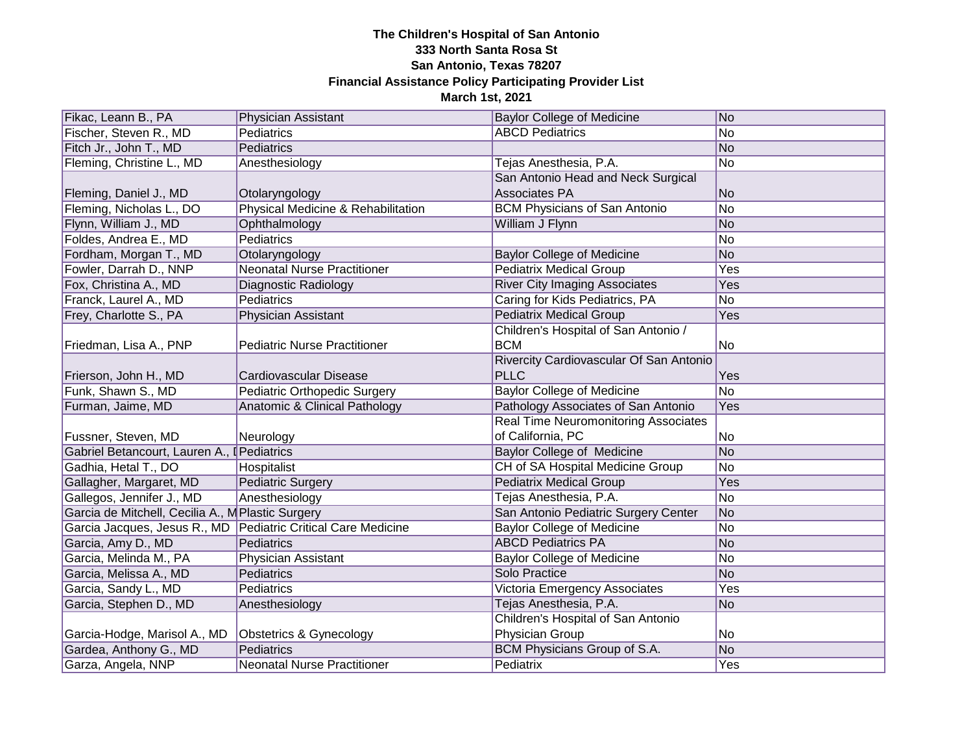| Fikac, Leann B., PA                               | <b>Physician Assistant</b>                                      | <b>Baylor College of Medicine</b>           | No         |
|---------------------------------------------------|-----------------------------------------------------------------|---------------------------------------------|------------|
| Fischer, Steven R., MD                            | Pediatrics                                                      | <b>ABCD Pediatrics</b>                      | No         |
| Fitch Jr., John T., MD                            | Pediatrics                                                      |                                             | No         |
| Fleming, Christine L., MD                         | Anesthesiology                                                  | Tejas Anesthesia, P.A.                      | No         |
|                                                   |                                                                 | San Antonio Head and Neck Surgical          |            |
| Fleming, Daniel J., MD                            | Otolaryngology                                                  | Associates PA                               | No         |
| Fleming, Nicholas L., DO                          | Physical Medicine & Rehabilitation                              | <b>BCM Physicians of San Antonio</b>        | No         |
| Flynn, William J., MD                             | Ophthalmology                                                   | William J Flynn                             | No         |
| Foldes, Andrea E., MD                             | Pediatrics                                                      |                                             | No         |
| Fordham, Morgan T., MD                            | Otolaryngology                                                  | <b>Baylor College of Medicine</b>           | No         |
| Fowler, Darrah D., NNP                            | <b>Neonatal Nurse Practitioner</b>                              | <b>Pediatrix Medical Group</b>              | Yes        |
| Fox, Christina A., MD                             | Diagnostic Radiology                                            | <b>River City Imaging Associates</b>        | Yes        |
| Franck, Laurel A., MD                             | Pediatrics                                                      | Caring for Kids Pediatrics, PA              | <b>No</b>  |
| Frey, Charlotte S., PA                            | Physician Assistant                                             | <b>Pediatrix Medical Group</b>              | Yes        |
|                                                   |                                                                 | Children's Hospital of San Antonio /        |            |
| Friedman, Lisa A., PNP                            | <b>Pediatric Nurse Practitioner</b>                             | <b>BCM</b>                                  | No         |
|                                                   |                                                                 | Rivercity Cardiovascular Of San Antonio     |            |
| Frierson, John H., MD                             | Cardiovascular Disease                                          | <b>PLLC</b>                                 | Yes        |
| Funk, Shawn S., MD                                | Pediatric Orthopedic Surgery                                    | <b>Baylor College of Medicine</b>           | <b>No</b>  |
| Furman, Jaime, MD                                 | Anatomic & Clinical Pathology                                   | Pathology Associates of San Antonio         | Yes        |
|                                                   |                                                                 | <b>Real Time Neuromonitoring Associates</b> |            |
| Fussner, Steven, MD                               | Neurology                                                       | of California, PC                           | No         |
| Gabriel Betancourt, Lauren A., I Pediatrics       |                                                                 | <b>Baylor College of Medicine</b>           | No         |
| Gadhia, Hetal T., DO                              | Hospitalist                                                     | CH of SA Hospital Medicine Group            | No         |
| Gallagher, Margaret, MD                           | <b>Pediatric Surgery</b>                                        | <b>Pediatrix Medical Group</b>              | Yes        |
| Gallegos, Jennifer J., MD                         | Anesthesiology                                                  | Tejas Anesthesia, P.A.                      | No         |
| Garcia de Mitchell, Cecilia A., M Plastic Surgery |                                                                 | San Antonio Pediatric Surgery Center        | No         |
|                                                   | Garcia Jacques, Jesus R., MD   Pediatric Critical Care Medicine | <b>Baylor College of Medicine</b>           | No         |
| Garcia, Amy D., MD                                | Pediatrics                                                      | <b>ABCD Pediatrics PA</b>                   | No         |
| Garcia, Melinda M., PA                            | Physician Assistant                                             | <b>Baylor College of Medicine</b>           | No         |
| Garcia, Melissa A., MD                            | Pediatrics                                                      | Solo Practice                               | No         |
| Garcia, Sandy L., MD                              | Pediatrics                                                      | <b>Victoria Emergency Associates</b>        | <b>Yes</b> |
| Garcia, Stephen D., MD                            | Anesthesiology                                                  | Tejas Anesthesia, P.A.                      | No         |
|                                                   |                                                                 | Children's Hospital of San Antonio          |            |
| Garcia-Hodge, Marisol A., MD                      | Obstetrics & Gynecology                                         | Physician Group                             | No         |
| Gardea, Anthony G., MD                            | Pediatrics                                                      | BCM Physicians Group of S.A.                | No         |
| Garza, Angela, NNP                                | <b>Neonatal Nurse Practitioner</b>                              | Pediatrix                                   | Yes        |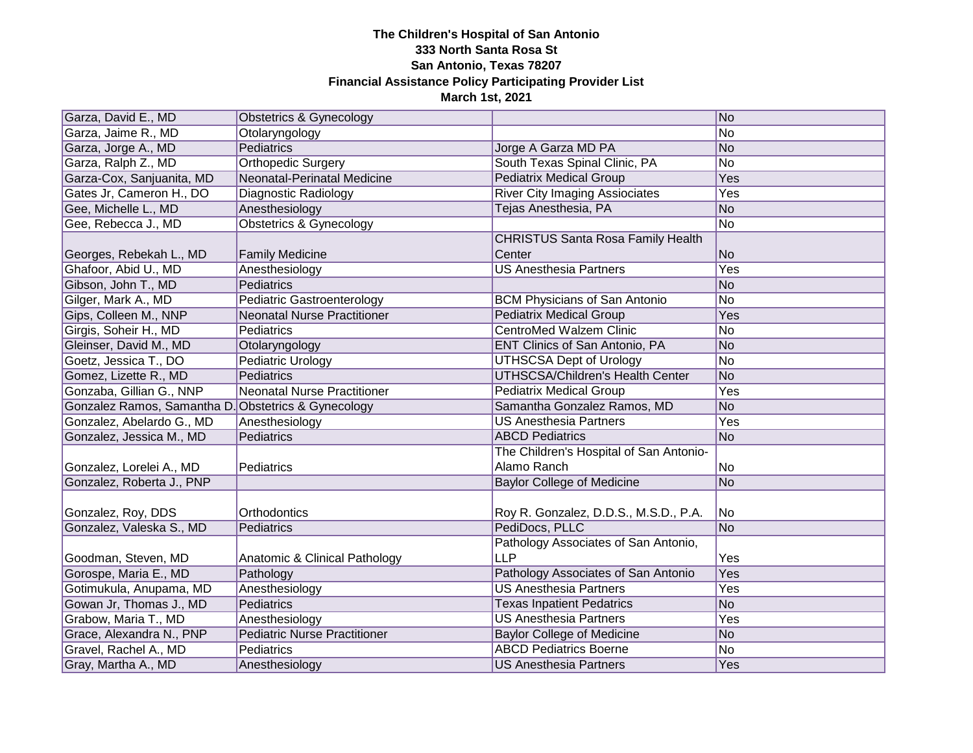| Garza, David E., MD                                 | <b>Obstetrics &amp; Gynecology</b>  |                                          | No             |
|-----------------------------------------------------|-------------------------------------|------------------------------------------|----------------|
| Garza, Jaime R., MD                                 | Otolaryngology                      |                                          | No             |
| Garza, Jorge A., MD                                 | <b>Pediatrics</b>                   | Jorge A Garza MD PA                      | No             |
| Garza, Ralph Z., MD                                 | <b>Orthopedic Surgery</b>           | South Texas Spinal Clinic, PA            | No             |
| Garza-Cox, Sanjuanita, MD                           | Neonatal-Perinatal Medicine         | <b>Pediatrix Medical Group</b>           | Yes            |
| Gates Jr, Cameron H., DO                            | Diagnostic Radiology                | <b>River City Imaging Assiociates</b>    | Yes            |
| Gee, Michelle L., MD                                | Anesthesiology                      | Tejas Anesthesia, PA                     | No             |
| Gee, Rebecca J., MD                                 | <b>Obstetrics &amp; Gynecology</b>  |                                          | No             |
|                                                     |                                     | <b>CHRISTUS Santa Rosa Family Health</b> |                |
| Georges, Rebekah L., MD                             | <b>Family Medicine</b>              | Center                                   | N <sub>o</sub> |
| Ghafoor, Abid U., MD                                | Anesthesiology                      | <b>US Anesthesia Partners</b>            | Yes            |
| Gibson, John T., MD                                 | Pediatrics                          |                                          | No             |
| Gilger, Mark A., MD                                 | Pediatric Gastroenterology          | <b>BCM Physicians of San Antonio</b>     | No             |
| Gips, Colleen M., NNP                               | <b>Neonatal Nurse Practitioner</b>  | <b>Pediatrix Medical Group</b>           | Yes            |
| Girgis, Soheir H., MD                               | Pediatrics                          | <b>CentroMed Walzem Clinic</b>           | No             |
| Gleinser, David M., MD                              | Otolaryngology                      | ENT Clinics of San Antonio, PA           | No             |
| Goetz, Jessica T., DO                               | Pediatric Urology                   | <b>UTHSCSA Dept of Urology</b>           | No             |
| Gomez, Lizette R., MD                               | <b>Pediatrics</b>                   | <b>UTHSCSA/Children's Health Center</b>  | No             |
| Gonzaba, Gillian G., NNP                            | Neonatal Nurse Practitioner         | <b>Pediatrix Medical Group</b>           | Yes            |
| Gonzalez Ramos, Samantha D. Obstetrics & Gynecology |                                     | Samantha Gonzalez Ramos, MD              | No             |
| Gonzalez, Abelardo G., MD                           | Anesthesiology                      | <b>US Anesthesia Partners</b>            | Yes            |
| Gonzalez, Jessica M., MD                            | Pediatrics                          | <b>ABCD Pediatrics</b>                   | No             |
|                                                     |                                     | The Children's Hospital of San Antonio-  |                |
| Gonzalez, Lorelei A., MD                            | Pediatrics                          | Alamo Ranch                              | No             |
| Gonzalez, Roberta J., PNP                           |                                     | <b>Baylor College of Medicine</b>        | No             |
|                                                     |                                     |                                          |                |
| Gonzalez, Roy, DDS                                  | Orthodontics                        | Roy R. Gonzalez, D.D.S., M.S.D., P.A.    | No.            |
| Gonzalez, Valeska S., MD                            | Pediatrics                          | PediDocs, PLLC                           | No             |
|                                                     |                                     | Pathology Associates of San Antonio,     |                |
| Goodman, Steven, MD                                 | Anatomic & Clinical Pathology       | <b>LLP</b>                               | Yes            |
| Gorospe, Maria E., MD                               | Pathology                           | Pathology Associates of San Antonio      | Yes            |
| Gotimukula, Anupama, MD                             | Anesthesiology                      | <b>US Anesthesia Partners</b>            | Yes            |
| Gowan Jr, Thomas J., MD                             | Pediatrics                          | <b>Texas Inpatient Pedatrics</b>         | N <sub>o</sub> |
| Grabow, Maria T., MD                                | Anesthesiology                      | <b>US Anesthesia Partners</b>            | Yes            |
| Grace, Alexandra N., PNP                            | <b>Pediatric Nurse Practitioner</b> | <b>Baylor College of Medicine</b>        | No             |
| Gravel, Rachel A., MD                               | Pediatrics                          | <b>ABCD Pediatrics Boerne</b>            | No             |
| Gray, Martha A., MD                                 | Anesthesiology                      | <b>US Anesthesia Partners</b>            | Yes            |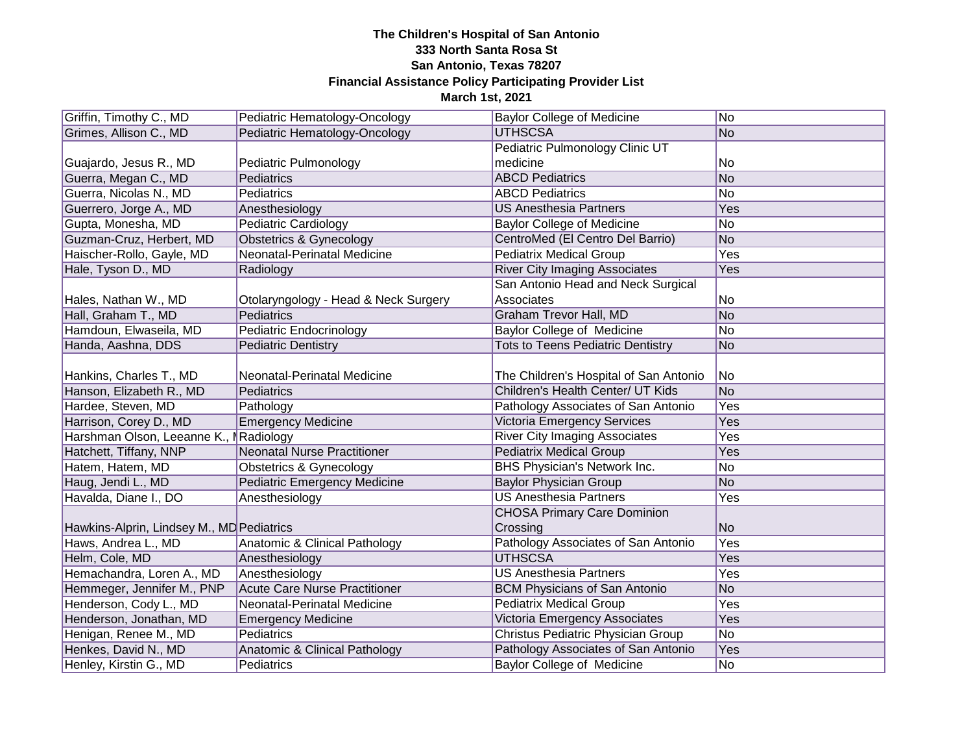| Griffin, Timothy C., MD                   | Pediatric Hematology-Oncology        | <b>Baylor College of Medicine</b>        | No         |
|-------------------------------------------|--------------------------------------|------------------------------------------|------------|
| Grimes, Allison C., MD                    | Pediatric Hematology-Oncology        | <b>UTHSCSA</b>                           | No         |
|                                           |                                      | Pediatric Pulmonology Clinic UT          |            |
| Guajardo, Jesus R., MD                    | Pediatric Pulmonology                | medicine                                 | No         |
| Guerra, Megan C., MD                      | Pediatrics                           | <b>ABCD Pediatrics</b>                   | <b>No</b>  |
| Guerra, Nicolas N., MD                    | Pediatrics                           | <b>ABCD Pediatrics</b>                   | No         |
| Guerrero, Jorge A., MD                    | Anesthesiology                       | <b>US Anesthesia Partners</b>            | Yes        |
| Gupta, Monesha, MD                        | Pediatric Cardiology                 | <b>Baylor College of Medicine</b>        | No         |
| Guzman-Cruz, Herbert, MD                  | <b>Obstetrics &amp; Gynecology</b>   | CentroMed (El Centro Del Barrio)         | <b>No</b>  |
| Haischer-Rollo, Gayle, MD                 | Neonatal-Perinatal Medicine          | <b>Pediatrix Medical Group</b>           | Yes        |
| Hale, Tyson D., MD                        | Radiology                            | <b>River City Imaging Associates</b>     | Yes        |
|                                           |                                      | San Antonio Head and Neck Surgical       |            |
| Hales, Nathan W., MD                      | Otolaryngology - Head & Neck Surgery | Associates                               | No         |
| Hall, Graham T., MD                       | Pediatrics                           | <b>Graham Trevor Hall, MD</b>            | <b>No</b>  |
| Hamdoun, Elwaseila, MD                    | Pediatric Endocrinology              | <b>Baylor College of Medicine</b>        | No         |
| Handa, Aashna, DDS                        | <b>Pediatric Dentistry</b>           | <b>Tots to Teens Pediatric Dentistry</b> | <b>No</b>  |
|                                           |                                      |                                          |            |
| Hankins, Charles T., MD                   | Neonatal-Perinatal Medicine          | The Children's Hospital of San Antonio   | No         |
| Hanson, Elizabeth R., MD                  | <b>Pediatrics</b>                    | Children's Health Center/ UT Kids        | No         |
| Hardee, Steven, MD                        | Pathology                            | Pathology Associates of San Antonio      | Yes        |
| Harrison, Corey D., MD                    | <b>Emergency Medicine</b>            | <b>Victoria Emergency Services</b>       | Yes        |
| Harshman Olson, Leeanne K., I Radiology   |                                      | <b>River City Imaging Associates</b>     | Yes        |
| Hatchett, Tiffany, NNP                    | Neonatal Nurse Practitioner          | <b>Pediatrix Medical Group</b>           | Yes        |
| Hatem, Hatem, MD                          | <b>Obstetrics &amp; Gynecology</b>   | <b>BHS Physician's Network Inc.</b>      | No         |
| Haug, Jendi L., MD                        | <b>Pediatric Emergency Medicine</b>  | <b>Baylor Physician Group</b>            | <b>No</b>  |
| Havalda, Diane I., DO                     | Anesthesiology                       | <b>US Anesthesia Partners</b>            | Yes        |
|                                           |                                      | <b>CHOSA Primary Care Dominion</b>       |            |
| Hawkins-Alprin, Lindsey M., MD Pediatrics |                                      | Crossing                                 | <b>No</b>  |
| Haws, Andrea L., MD                       | Anatomic & Clinical Pathology        | Pathology Associates of San Antonio      | <b>Yes</b> |
| Helm, Cole, MD                            | Anesthesiology                       | <b>UTHSCSA</b>                           | Yes        |
| Hemachandra, Loren A., MD                 | Anesthesiology                       | <b>US Anesthesia Partners</b>            | Yes        |
| Hemmeger, Jennifer M., PNP                | <b>Acute Care Nurse Practitioner</b> | <b>BCM Physicians of San Antonio</b>     | <b>No</b>  |
| Henderson, Cody L., MD                    | Neonatal-Perinatal Medicine          | <b>Pediatrix Medical Group</b>           | Yes        |
| Henderson, Jonathan, MD                   | <b>Emergency Medicine</b>            | Victoria Emergency Associates            | Yes        |
| Henigan, Renee M., MD                     | Pediatrics                           | Christus Pediatric Physician Group       | No         |
| Henkes, David N., MD                      | Anatomic & Clinical Pathology        | Pathology Associates of San Antonio      | Yes        |
| Henley, Kirstin G., MD                    | Pediatrics                           | Baylor College of Medicine               | No         |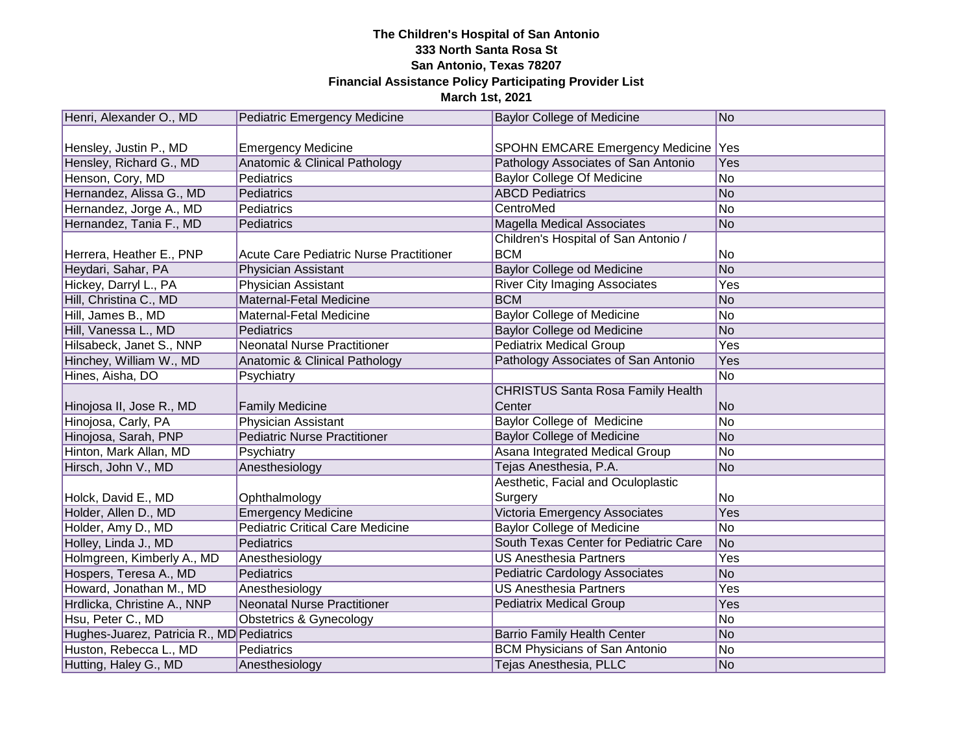| Henri, Alexander O., MD                   | <b>Pediatric Emergency Medicine</b>            | <b>Baylor College of Medicine</b>        | No        |
|-------------------------------------------|------------------------------------------------|------------------------------------------|-----------|
|                                           |                                                |                                          |           |
| Hensley, Justin P., MD                    | <b>Emergency Medicine</b>                      | SPOHN EMCARE Emergency Medicine   Yes    |           |
| Hensley, Richard G., MD                   | Anatomic & Clinical Pathology                  | Pathology Associates of San Antonio      | Yes       |
| Henson, Cory, MD                          | Pediatrics                                     | <b>Baylor College Of Medicine</b>        | No        |
| Hernandez, Alissa G., MD                  | Pediatrics                                     | <b>ABCD Pediatrics</b>                   | No        |
| Hernandez, Jorge A., MD                   | Pediatrics                                     | CentroMed                                | No        |
| Hernandez, Tania F., MD                   | Pediatrics                                     | <b>Magella Medical Associates</b>        | No        |
|                                           |                                                | Children's Hospital of San Antonio /     |           |
| Herrera, Heather E., PNP                  | <b>Acute Care Pediatric Nurse Practitioner</b> | <b>BCM</b>                               | No        |
| Heydari, Sahar, PA                        | Physician Assistant                            | Baylor College od Medicine               | No        |
| Hickey, Darryl L., PA                     | Physician Assistant                            | <b>River City Imaging Associates</b>     | Yes       |
| Hill, Christina C., MD                    | Maternal-Fetal Medicine                        | <b>BCM</b>                               | <b>No</b> |
| Hill, James B., MD                        | Maternal-Fetal Medicine                        | <b>Baylor College of Medicine</b>        | No        |
| Hill, Vanessa L., MD                      | Pediatrics                                     | Baylor College od Medicine               | <b>No</b> |
| Hilsabeck, Janet S., NNP                  | <b>Neonatal Nurse Practitioner</b>             | <b>Pediatrix Medical Group</b>           | Yes       |
| Hinchey, William W., MD                   | Anatomic & Clinical Pathology                  | Pathology Associates of San Antonio      | Yes       |
| Hines, Aisha, DO                          | Psychiatry                                     |                                          | No        |
|                                           |                                                | <b>CHRISTUS Santa Rosa Family Health</b> |           |
| Hinojosa II, Jose R., MD                  | <b>Family Medicine</b>                         | Center                                   | No        |
| Hinojosa, Carly, PA                       | Physician Assistant                            | Baylor College of Medicine               | No        |
| Hinojosa, Sarah, PNP                      | <b>Pediatric Nurse Practitioner</b>            | <b>Baylor College of Medicine</b>        | No        |
| Hinton, Mark Allan, MD                    | Psychiatry                                     | Asana Integrated Medical Group           | No        |
| Hirsch, John V., MD                       | Anesthesiology                                 | Tejas Anesthesia, P.A.                   | No        |
|                                           |                                                | Aesthetic, Facial and Oculoplastic       |           |
| Holck, David E., MD                       | Ophthalmology                                  | Surgery                                  | No        |
| Holder, Allen D., MD                      | <b>Emergency Medicine</b>                      | Victoria Emergency Associates            | Yes       |
| Holder, Amy D., MD                        | <b>Pediatric Critical Care Medicine</b>        | <b>Baylor College of Medicine</b>        | No        |
| Holley, Linda J., MD                      | <b>Pediatrics</b>                              | South Texas Center for Pediatric Care    | No        |
| Holmgreen, Kimberly A., MD                | Anesthesiology                                 | <b>US Anesthesia Partners</b>            | Yes       |
| Hospers, Teresa A., MD                    | Pediatrics                                     | <b>Pediatric Cardology Associates</b>    | No        |
| Howard, Jonathan M., MD                   | Anesthesiology                                 | <b>US Anesthesia Partners</b>            | Yes       |
| Hrdlicka, Christine A., NNP               | <b>Neonatal Nurse Practitioner</b>             | <b>Pediatrix Medical Group</b>           | Yes       |
| Hsu, Peter C., MD                         | Obstetrics & Gynecology                        |                                          | No        |
| Hughes-Juarez, Patricia R., MD Pediatrics |                                                | <b>Barrio Family Health Center</b>       | No        |
| Huston, Rebecca L., MD                    | Pediatrics                                     | <b>BCM Physicians of San Antonio</b>     | No        |
| Hutting, Haley G., MD                     | Anesthesiology                                 | Tejas Anesthesia, PLLC                   | No        |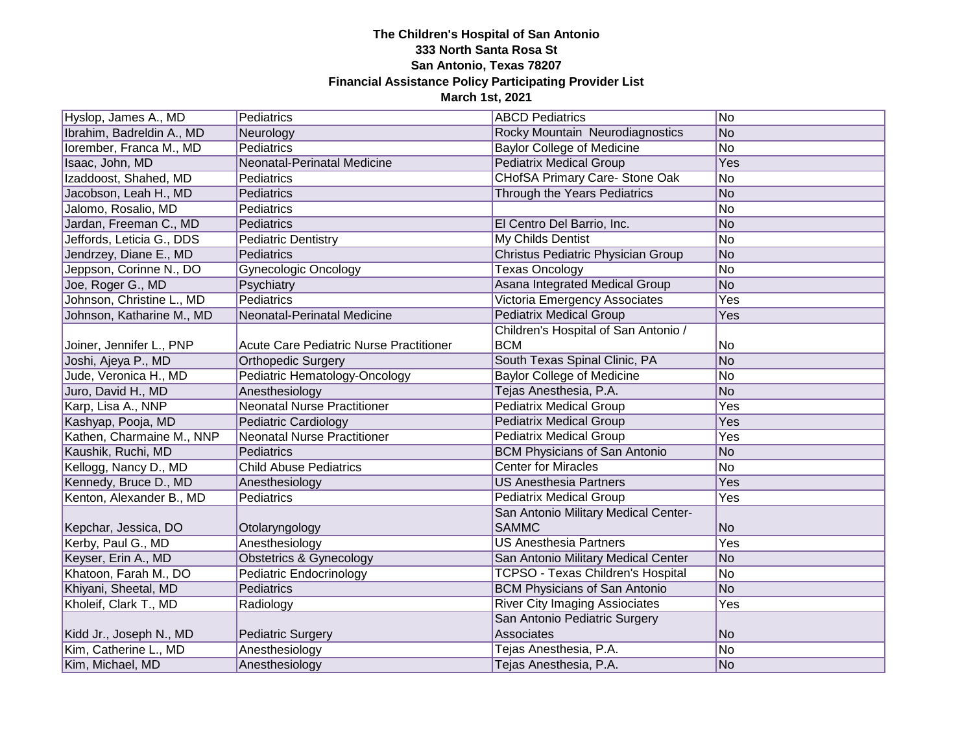| Hyslop, James A., MD      | Pediatrics                              | <b>ABCD Pediatrics</b>                   | No         |
|---------------------------|-----------------------------------------|------------------------------------------|------------|
| Ibrahim, Badreldin A., MD | Neurology                               | Rocky Mountain Neurodiagnostics          | No         |
| lorember, Franca M., MD   | Pediatrics                              | <b>Baylor College of Medicine</b>        | No         |
| Isaac, John, MD           | Neonatal-Perinatal Medicine             | <b>Pediatrix Medical Group</b>           | Yes        |
| Izaddoost, Shahed, MD     | Pediatrics                              | CHofSA Primary Care- Stone Oak           | No         |
| Jacobson, Leah H., MD     | Pediatrics                              | Through the Years Pediatrics             | No         |
| Jalomo, Rosalio, MD       | Pediatrics                              |                                          | No         |
| Jardan, Freeman C., MD    | Pediatrics                              | El Centro Del Barrio, Inc.               | No         |
| Jeffords, Leticia G., DDS | <b>Pediatric Dentistry</b>              | My Childs Dentist                        | No         |
| Jendrzey, Diane E., MD    | Pediatrics                              | Christus Pediatric Physician Group       | No         |
| Jeppson, Corinne N., DO   | <b>Gynecologic Oncology</b>             | <b>Texas Oncology</b>                    | No         |
| Joe, Roger G., MD         | Psychiatry                              | Asana Integrated Medical Group           | No         |
| Johnson, Christine L., MD | Pediatrics                              | Victoria Emergency Associates            | Yes        |
| Johnson, Katharine M., MD | Neonatal-Perinatal Medicine             | <b>Pediatrix Medical Group</b>           | Yes        |
|                           |                                         | Children's Hospital of San Antonio /     |            |
| Joiner, Jennifer L., PNP  | Acute Care Pediatric Nurse Practitioner | <b>BCM</b>                               | No         |
| Joshi, Ajeya P., MD       | <b>Orthopedic Surgery</b>               | South Texas Spinal Clinic, PA            | No         |
| Jude, Veronica H., MD     | Pediatric Hematology-Oncology           | <b>Baylor College of Medicine</b>        | No         |
| Juro, David H., MD        | Anesthesiology                          | Tejas Anesthesia, P.A.                   | No         |
| Karp, Lisa A., NNP        | <b>Neonatal Nurse Practitioner</b>      | <b>Pediatrix Medical Group</b>           | Yes        |
| Kashyap, Pooja, MD        | Pediatric Cardiology                    | <b>Pediatrix Medical Group</b>           | Yes        |
| Kathen, Charmaine M., NNP | <b>Neonatal Nurse Practitioner</b>      | <b>Pediatrix Medical Group</b>           | Yes        |
| Kaushik, Ruchi, MD        | Pediatrics                              | <b>BCM Physicians of San Antonio</b>     | No         |
| Kellogg, Nancy D., MD     | <b>Child Abuse Pediatrics</b>           | <b>Center for Miracles</b>               | No         |
| Kennedy, Bruce D., MD     | Anesthesiology                          | <b>US Anesthesia Partners</b>            | Yes        |
| Kenton, Alexander B., MD  | Pediatrics                              | <b>Pediatrix Medical Group</b>           | Yes        |
|                           |                                         | San Antonio Military Medical Center-     |            |
| Kepchar, Jessica, DO      | Otolaryngology                          | <b>SAMMC</b>                             | No         |
| Kerby, Paul G., MD        | Anesthesiology                          | <b>US Anesthesia Partners</b>            | <b>Yes</b> |
| Keyser, Erin A., MD       | <b>Obstetrics &amp; Gynecology</b>      | San Antonio Military Medical Center      | No         |
| Khatoon, Farah M., DO     | Pediatric Endocrinology                 | <b>TCPSO - Texas Children's Hospital</b> | No         |
| Khiyani, Sheetal, MD      | Pediatrics                              | <b>BCM Physicians of San Antonio</b>     | No         |
| Kholeif, Clark T., MD     | Radiology                               | <b>River City Imaging Assiociates</b>    | Yes        |
|                           |                                         | San Antonio Pediatric Surgery            |            |
| Kidd Jr., Joseph N., MD   | <b>Pediatric Surgery</b>                | Associates                               | No         |
| Kim, Catherine L., MD     | Anesthesiology                          | Tejas Anesthesia, P.A.                   | No         |
| Kim, Michael, MD          | Anesthesiology                          | Tejas Anesthesia, P.A.                   | No         |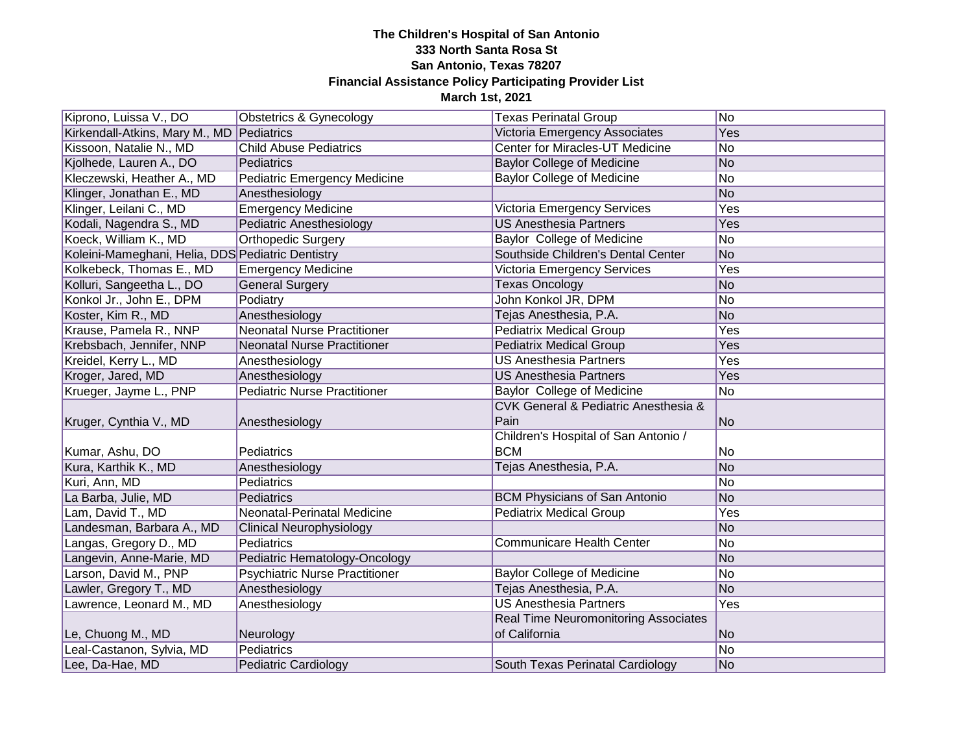| Kiprono, Luissa V., DO                            | Obstetrics & Gynecology               | <b>Texas Perinatal Group</b>                | No.            |
|---------------------------------------------------|---------------------------------------|---------------------------------------------|----------------|
| Kirkendall-Atkins, Mary M., MD Pediatrics         |                                       | Victoria Emergency Associates               | Yes            |
| Kissoon, Natalie N., MD                           | <b>Child Abuse Pediatrics</b>         | <b>Center for Miracles-UT Medicine</b>      | No             |
| Kjolhede, Lauren A., DO                           | Pediatrics                            | <b>Baylor College of Medicine</b>           | N <sub>o</sub> |
| Kleczewski, Heather A., MD                        | <b>Pediatric Emergency Medicine</b>   | <b>Baylor College of Medicine</b>           | <b>No</b>      |
| Klinger, Jonathan E., MD                          | Anesthesiology                        |                                             | N <sub>o</sub> |
| Klinger, Leilani C., MD                           | <b>Emergency Medicine</b>             | Victoria Emergency Services                 | Yes            |
| Kodali, Nagendra S., MD                           | <b>Pediatric Anesthesiology</b>       | <b>US Anesthesia Partners</b>               | Yes            |
| Koeck, William K., MD                             | <b>Orthopedic Surgery</b>             | Baylor College of Medicine                  | <b>No</b>      |
| Koleini-Mameghani, Helia, DDS Pediatric Dentistry |                                       | Southside Children's Dental Center          | No             |
| Kolkebeck, Thomas E., MD                          | Emergency Medicine                    | Victoria Emergency Services                 | Yes            |
| Kolluri, Sangeetha L., DO                         | <b>General Surgery</b>                | <b>Texas Oncology</b>                       | No             |
| Konkol Jr., John E., DPM                          | Podiatry                              | John Konkol JR, DPM                         | No             |
| Koster, Kim R., MD                                | Anesthesiology                        | Tejas Anesthesia, P.A.                      | N <sub>o</sub> |
| Krause, Pamela R., NNP                            | <b>Neonatal Nurse Practitioner</b>    | <b>Pediatrix Medical Group</b>              | Yes            |
| Krebsbach, Jennifer, NNP                          | Neonatal Nurse Practitioner           | <b>Pediatrix Medical Group</b>              | Yes            |
| Kreidel, Kerry L., MD                             | Anesthesiology                        | <b>US Anesthesia Partners</b>               | Yes            |
| Kroger, Jared, MD                                 | Anesthesiology                        | <b>US Anesthesia Partners</b>               | Yes            |
| Krueger, Jayme L., PNP                            | <b>Pediatric Nurse Practitioner</b>   | Baylor College of Medicine                  | <b>No</b>      |
|                                                   |                                       | CVK General & Pediatric Anesthesia &        |                |
| Kruger, Cynthia V., MD                            | Anesthesiology                        | Pain                                        | N <sub>o</sub> |
|                                                   |                                       | Children's Hospital of San Antonio /        |                |
| Kumar, Ashu, DO                                   | Pediatrics                            | <b>BCM</b>                                  | No             |
| Kura, Karthik K., MD                              | Anesthesiology                        | Tejas Anesthesia, P.A.                      | No             |
| Kuri, Ann, MD                                     | Pediatrics                            |                                             | No             |
| La Barba, Julie, MD                               | Pediatrics                            | <b>BCM Physicians of San Antonio</b>        | N <sub>o</sub> |
| Lam, David T., MD                                 | Neonatal-Perinatal Medicine           | <b>Pediatrix Medical Group</b>              | Yes            |
| Landesman, Barbara A., MD                         | <b>Clinical Neurophysiology</b>       |                                             | No             |
| Langas, Gregory D., MD                            | Pediatrics                            | <b>Communicare Health Center</b>            | No             |
| Langevin, Anne-Marie, MD                          | Pediatric Hematology-Oncology         |                                             | No             |
| Larson, David M., PNP                             | <b>Psychiatric Nurse Practitioner</b> | <b>Baylor College of Medicine</b>           | No             |
| Lawler, Gregory T., MD                            | Anesthesiology                        | Tejas Anesthesia, P.A.                      | N <sub>o</sub> |
| Lawrence, Leonard M., MD                          | Anesthesiology                        | <b>US Anesthesia Partners</b>               | Yes            |
|                                                   |                                       | <b>Real Time Neuromonitoring Associates</b> |                |
| Le, Chuong M., MD                                 | Neurology                             | of California                               | <b>No</b>      |
| Leal-Castanon, Sylvia, MD                         | Pediatrics                            |                                             | <b>No</b>      |
| Lee, Da-Hae, MD                                   | <b>Pediatric Cardiology</b>           | South Texas Perinatal Cardiology            | No             |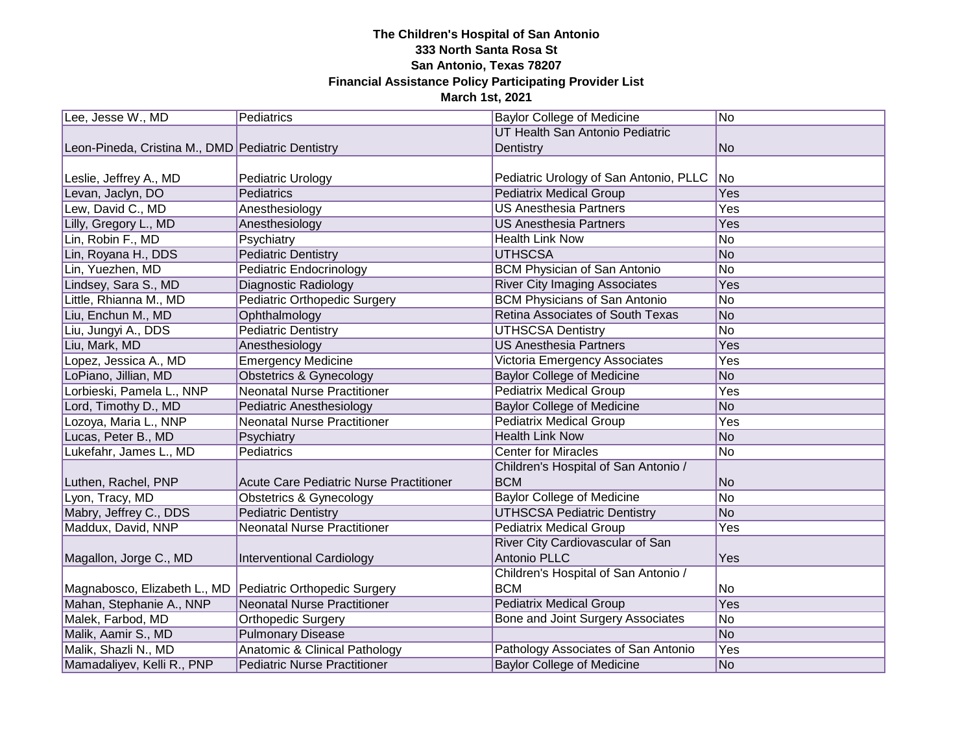| Lee, Jesse W., MD                                         | Pediatrics                              | <b>Baylor College of Medicine</b>      | No.            |
|-----------------------------------------------------------|-----------------------------------------|----------------------------------------|----------------|
|                                                           |                                         | UT Health San Antonio Pediatric        |                |
| Leon-Pineda, Cristina M., DMD Pediatric Dentistry         |                                         | Dentistry                              | No             |
|                                                           |                                         |                                        |                |
| Leslie, Jeffrey A., MD                                    | <b>Pediatric Urology</b>                | Pediatric Urology of San Antonio, PLLC | No             |
| Levan, Jaclyn, DO                                         | Pediatrics                              | <b>Pediatrix Medical Group</b>         | Yes            |
| Lew, David C., MD                                         | Anesthesiology                          | <b>US Anesthesia Partners</b>          | Yes            |
| Lilly, Gregory L., MD                                     | Anesthesiology                          | <b>US Anesthesia Partners</b>          | Yes            |
| Lin, Robin F., MD                                         | Psychiatry                              | <b>Health Link Now</b>                 | <b>No</b>      |
| Lin, Royana H., DDS                                       | <b>Pediatric Dentistry</b>              | <b>UTHSCSA</b>                         | No             |
| Lin, Yuezhen, MD                                          | Pediatric Endocrinology                 | <b>BCM Physician of San Antonio</b>    | <b>No</b>      |
| Lindsey, Sara S., MD                                      | <b>Diagnostic Radiology</b>             | <b>River City Imaging Associates</b>   | Yes            |
| Little, Rhianna M., MD                                    | <b>Pediatric Orthopedic Surgery</b>     | <b>BCM Physicians of San Antonio</b>   | No             |
| Liu, Enchun M., MD                                        | Ophthalmology                           | Retina Associates of South Texas       | N <sub>o</sub> |
| Liu, Jungyi A., DDS                                       | <b>Pediatric Dentistry</b>              | <b>UTHSCSA Dentistry</b>               | No             |
| Liu, Mark, MD                                             | Anesthesiology                          | <b>US Anesthesia Partners</b>          | Yes            |
| Lopez, Jessica A., MD                                     | <b>Emergency Medicine</b>               | Victoria Emergency Associates          | Yes            |
| LoPiano, Jillian, MD                                      | <b>Obstetrics &amp; Gynecology</b>      | <b>Baylor College of Medicine</b>      | <b>No</b>      |
| Lorbieski, Pamela L., NNP                                 | <b>Neonatal Nurse Practitioner</b>      | <b>Pediatrix Medical Group</b>         | Yes            |
| Lord, Timothy D., MD                                      | <b>Pediatric Anesthesiology</b>         | <b>Baylor College of Medicine</b>      | N <sub>o</sub> |
| Lozoya, Maria L., NNP                                     | <b>Neonatal Nurse Practitioner</b>      | <b>Pediatrix Medical Group</b>         | Yes            |
| Lucas, Peter B., MD                                       | Psychiatry                              | <b>Health Link Now</b>                 | N <sub>o</sub> |
| Lukefahr, James L., MD                                    | Pediatrics                              | <b>Center for Miracles</b>             | No             |
|                                                           |                                         | Children's Hospital of San Antonio /   |                |
| Luthen, Rachel, PNP                                       | Acute Care Pediatric Nurse Practitioner | <b>BCM</b>                             | No             |
| Lyon, Tracy, MD                                           | <b>Obstetrics &amp; Gynecology</b>      | <b>Baylor College of Medicine</b>      | No             |
| Mabry, Jeffrey C., DDS                                    | <b>Pediatric Dentistry</b>              | <b>UTHSCSA Pediatric Dentistry</b>     | N <sub>o</sub> |
| Maddux, David, NNP                                        | <b>Neonatal Nurse Practitioner</b>      | <b>Pediatrix Medical Group</b>         | Yes            |
|                                                           |                                         | River City Cardiovascular of San       |                |
| Magallon, Jorge C., MD                                    | Interventional Cardiology               | Antonio PLLC                           | Yes            |
|                                                           |                                         | Children's Hospital of San Antonio /   |                |
| Magnabosco, Elizabeth L., MD Pediatric Orthopedic Surgery |                                         | <b>BCM</b>                             | No             |
| Mahan, Stephanie A., NNP                                  | <b>Neonatal Nurse Practitioner</b>      | <b>Pediatrix Medical Group</b>         | Yes            |
| Malek, Farbod, MD                                         | <b>Orthopedic Surgery</b>               | Bone and Joint Surgery Associates      | No             |
| Malik, Aamir S., MD                                       | <b>Pulmonary Disease</b>                |                                        | No             |
| Malik, Shazli N., MD                                      | Anatomic & Clinical Pathology           | Pathology Associates of San Antonio    | Yes            |
| Mamadaliyev, Kelli R., PNP                                | <b>Pediatric Nurse Practitioner</b>     | <b>Baylor College of Medicine</b>      | No             |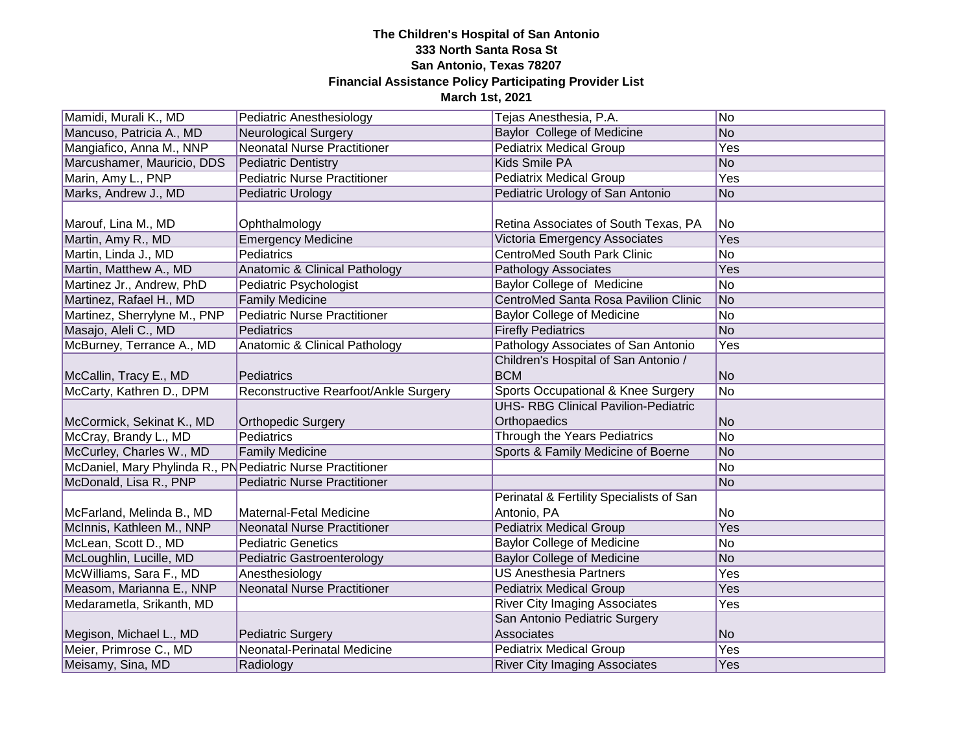| Mamidi, Murali K., MD                                       | Pediatric Anesthesiology              | Tejas Anesthesia, P.A.                                  | N <sub>o</sub> |
|-------------------------------------------------------------|---------------------------------------|---------------------------------------------------------|----------------|
| Mancuso, Patricia A., MD                                    | <b>Neurological Surgery</b>           | <b>Baylor College of Medicine</b>                       | No             |
| Mangiafico, Anna M., NNP                                    | <b>Neonatal Nurse Practitioner</b>    | <b>Pediatrix Medical Group</b>                          | Yes            |
| Marcushamer, Mauricio, DDS                                  | <b>Pediatric Dentistry</b>            | Kids Smile PA                                           | <b>No</b>      |
| Marin, Amy L., PNP                                          | <b>Pediatric Nurse Practitioner</b>   | <b>Pediatrix Medical Group</b>                          | Yes            |
| Marks, Andrew J., MD                                        | <b>Pediatric Urology</b>              | Pediatric Urology of San Antonio                        | <b>No</b>      |
| Marouf, Lina M., MD                                         | Ophthalmology                         | Retina Associates of South Texas, PA                    | No             |
| Martin, Amy R., MD                                          | <b>Emergency Medicine</b>             | Victoria Emergency Associates                           | Yes            |
| Martin, Linda J., MD                                        | Pediatrics                            | <b>CentroMed South Park Clinic</b>                      | No             |
| Martin, Matthew A., MD                                      | Anatomic & Clinical Pathology         | <b>Pathology Associates</b>                             | Yes            |
| Martinez Jr., Andrew, PhD                                   | Pediatric Psychologist                | <b>Baylor College of Medicine</b>                       | No             |
| Martinez, Rafael H., MD                                     | <b>Family Medicine</b>                | <b>CentroMed Santa Rosa Pavilion Clinic</b>             | N <sub>o</sub> |
| Martinez, Sherrylyne M., PNP                                | <b>Pediatric Nurse Practitioner</b>   | <b>Baylor College of Medicine</b>                       | No             |
| Masajo, Aleli C., MD                                        | Pediatrics                            | <b>Firefly Pediatrics</b>                               | N <sub>o</sub> |
| McBurney, Terrance A., MD                                   | Anatomic & Clinical Pathology         | Pathology Associates of San Antonio                     | Yes            |
| McCallin, Tracy E., MD                                      | Pediatrics                            | Children's Hospital of San Antonio /<br><b>BCM</b>      | <b>No</b>      |
| McCarty, Kathren D., DPM                                    | Reconstructive Rearfoot/Ankle Surgery | Sports Occupational & Knee Surgery                      | N <sub>o</sub> |
|                                                             |                                       | <b>UHS- RBG Clinical Pavilion-Pediatric</b>             |                |
| McCormick, Sekinat K., MD                                   | <b>Orthopedic Surgery</b>             | Orthopaedics                                            | <b>No</b>      |
| McCray, Brandy L., MD                                       | Pediatrics                            | Through the Years Pediatrics                            | No             |
| McCurley, Charles W., MD                                    | <b>Family Medicine</b>                | Sports & Family Medicine of Boerne                      | No             |
| McDaniel, Mary Phylinda R., PN Pediatric Nurse Practitioner |                                       |                                                         | No             |
| McDonald, Lisa R., PNP                                      | <b>Pediatric Nurse Practitioner</b>   |                                                         | No             |
| McFarland, Melinda B., MD                                   | Maternal-Fetal Medicine               | Perinatal & Fertility Specialists of San<br>Antonio, PA | No             |
| McInnis, Kathleen M., NNP                                   | <b>Neonatal Nurse Practitioner</b>    | <b>Pediatrix Medical Group</b>                          | Yes            |
| McLean, Scott D., MD                                        | <b>Pediatric Genetics</b>             | <b>Baylor College of Medicine</b>                       | No             |
| McLoughlin, Lucille, MD                                     | <b>Pediatric Gastroenterology</b>     | <b>Baylor College of Medicine</b>                       | N <sub>o</sub> |
| McWilliams, Sara F., MD                                     | Anesthesiology                        | <b>US Anesthesia Partners</b>                           | Yes            |
| Measom, Marianna E., NNP                                    | <b>Neonatal Nurse Practitioner</b>    | <b>Pediatrix Medical Group</b>                          | Yes            |
| Medarametla, Srikanth, MD                                   |                                       | <b>River City Imaging Associates</b>                    | Yes            |
|                                                             |                                       | San Antonio Pediatric Surgery                           |                |
| Megison, Michael L., MD                                     | <b>Pediatric Surgery</b>              | Associates                                              | <b>No</b>      |
| Meier, Primrose C., MD                                      | Neonatal-Perinatal Medicine           | <b>Pediatrix Medical Group</b>                          | Yes            |
| Meisamy, Sina, MD                                           | Radiology                             | <b>River City Imaging Associates</b>                    | Yes            |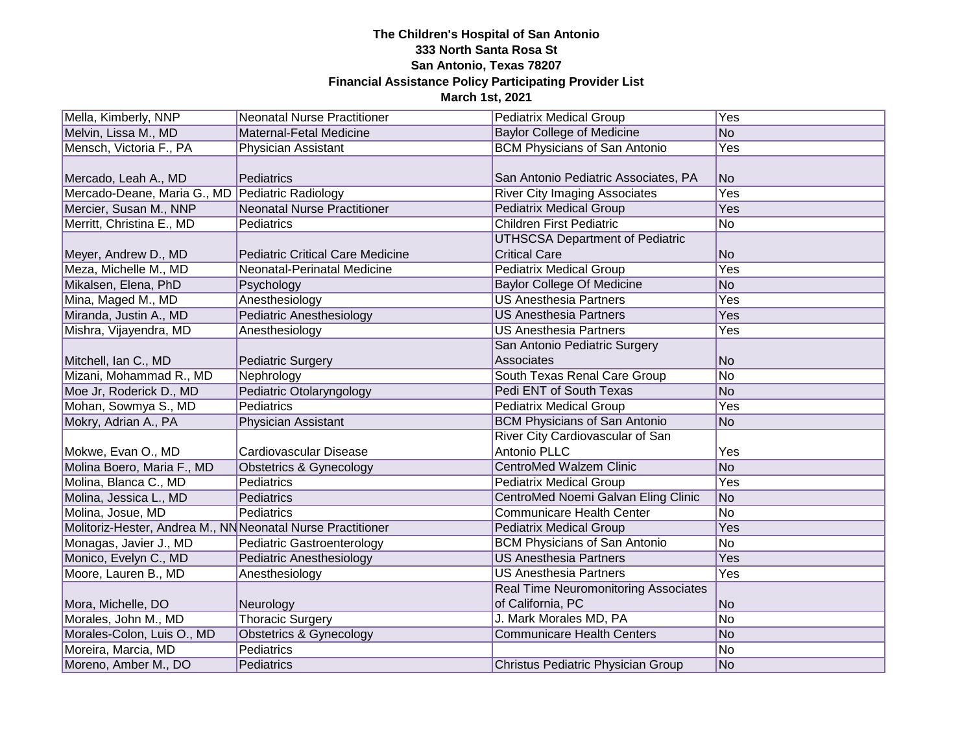| Mella, Kimberly, NNP                                        | Neonatal Nurse Practitioner             | <b>Pediatrix Medical Group</b>              | <b>Yes</b>      |
|-------------------------------------------------------------|-----------------------------------------|---------------------------------------------|-----------------|
| Melvin, Lissa M., MD                                        | Maternal-Fetal Medicine                 | <b>Baylor College of Medicine</b>           | No              |
| Mensch, Victoria F., PA                                     | Physician Assistant                     | <b>BCM Physicians of San Antonio</b>        | Yes             |
|                                                             |                                         |                                             |                 |
| Mercado, Leah A., MD                                        | Pediatrics                              | San Antonio Pediatric Associates, PA        | No              |
| Mercado-Deane, Maria G., MD Pediatric Radiology             |                                         | <b>River City Imaging Associates</b>        | Yes             |
| Mercier, Susan M., NNP                                      | Neonatal Nurse Practitioner             | <b>Pediatrix Medical Group</b>              | Yes             |
| Merritt, Christina E., MD                                   | Pediatrics                              | <b>Children First Pediatric</b>             | $\overline{No}$ |
|                                                             |                                         | <b>UTHSCSA Department of Pediatric</b>      |                 |
| Meyer, Andrew D., MD                                        | <b>Pediatric Critical Care Medicine</b> | <b>Critical Care</b>                        | <b>No</b>       |
| Meza, Michelle M., MD                                       | Neonatal-Perinatal Medicine             | <b>Pediatrix Medical Group</b>              | Yes             |
| Mikalsen, Elena, PhD                                        | Psychology                              | <b>Baylor College Of Medicine</b>           | N <sub>o</sub>  |
| Mina, Maged M., MD                                          | Anesthesiology                          | <b>US Anesthesia Partners</b>               | Yes             |
| Miranda, Justin A., MD                                      | <b>Pediatric Anesthesiology</b>         | <b>US Anesthesia Partners</b>               | <b>Yes</b>      |
| Mishra, Vijayendra, MD                                      | Anesthesiology                          | <b>US Anesthesia Partners</b>               | Yes             |
|                                                             |                                         | San Antonio Pediatric Surgery               |                 |
| Mitchell, Ian C., MD                                        | <b>Pediatric Surgery</b>                | Associates                                  | No              |
| Mizani, Mohammad R., MD                                     | Nephrology                              | South Texas Renal Care Group                | N <sub>o</sub>  |
| Moe Jr, Roderick D., MD                                     | Pediatric Otolaryngology                | Pedi ENT of South Texas                     | No.             |
| Mohan, Sowmya S., MD                                        | Pediatrics                              | <b>Pediatrix Medical Group</b>              | Yes             |
| Mokry, Adrian A., PA                                        | Physician Assistant                     | <b>BCM Physicians of San Antonio</b>        | <b>No</b>       |
|                                                             |                                         | River City Cardiovascular of San            |                 |
| Mokwe, Evan O., MD                                          | Cardiovascular Disease                  | Antonio PLLC                                | Yes             |
| Molina Boero, Maria F., MD                                  | <b>Obstetrics &amp; Gynecology</b>      | <b>CentroMed Walzem Clinic</b>              | N <sub>o</sub>  |
| Molina, Blanca C., MD                                       | Pediatrics                              | <b>Pediatrix Medical Group</b>              | Yes             |
| Molina, Jessica L., MD                                      | Pediatrics                              | CentroMed Noemi Galvan Eling Clinic         | No              |
| Molina, Josue, MD                                           | Pediatrics                              | <b>Communicare Health Center</b>            | No              |
| Molitoriz-Hester, Andrea M., NN Neonatal Nurse Practitioner |                                         | <b>Pediatrix Medical Group</b>              | <b>Yes</b>      |
| Monagas, Javier J., MD                                      | Pediatric Gastroenterology              | <b>BCM Physicians of San Antonio</b>        | <b>No</b>       |
| Monico, Evelyn C., MD                                       | Pediatric Anesthesiology                | <b>US Anesthesia Partners</b>               | Yes             |
| Moore, Lauren B., MD                                        | Anesthesiology                          | <b>US Anesthesia Partners</b>               | Yes             |
|                                                             |                                         | <b>Real Time Neuromonitoring Associates</b> |                 |
| Mora, Michelle, DO                                          | Neurology                               | of California, PC                           | <b>No</b>       |
| Morales, John M., MD                                        | <b>Thoracic Surgery</b>                 | J. Mark Morales MD, PA                      | No              |
| Morales-Colon, Luis O., MD                                  | <b>Obstetrics &amp; Gynecology</b>      | <b>Communicare Health Centers</b>           | No              |
| Moreira, Marcia, MD                                         | Pediatrics                              |                                             | No              |
| Moreno, Amber M., DO                                        | Pediatrics                              | Christus Pediatric Physician Group          | No              |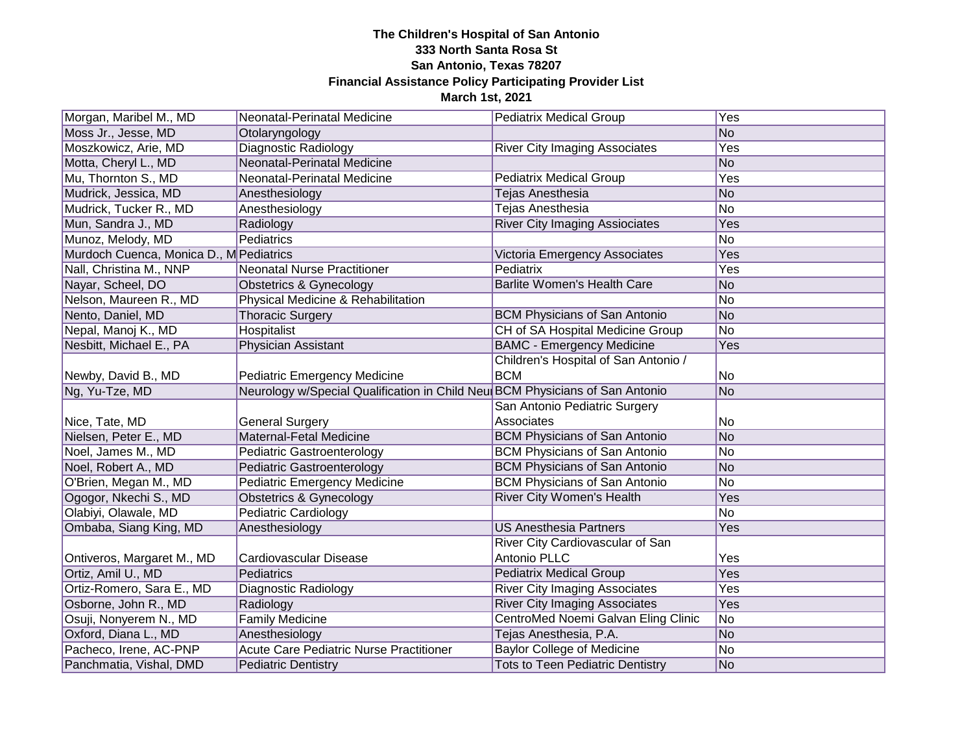| Morgan, Maribel M., MD                  | Neonatal-Perinatal Medicine                                                  | <b>Pediatrix Medical Group</b>          | Yes            |
|-----------------------------------------|------------------------------------------------------------------------------|-----------------------------------------|----------------|
| Moss Jr., Jesse, MD                     | Otolaryngology                                                               |                                         | N <sub>o</sub> |
| Moszkowicz, Arie, MD                    | <b>Diagnostic Radiology</b>                                                  | <b>River City Imaging Associates</b>    | Yes            |
| Motta, Cheryl L., MD                    | Neonatal-Perinatal Medicine                                                  |                                         | <b>No</b>      |
| Mu, Thornton S., MD                     | Neonatal-Perinatal Medicine                                                  | <b>Pediatrix Medical Group</b>          | Yes            |
| Mudrick, Jessica, MD                    | Anesthesiology                                                               | Tejas Anesthesia                        | <b>No</b>      |
| Mudrick, Tucker R., MD                  | Anesthesiology                                                               | <b>Tejas Anesthesia</b>                 | No             |
| Mun, Sandra J., MD                      | Radiology                                                                    | <b>River City Imaging Assiociates</b>   | Yes            |
| Munoz, Melody, MD                       | Pediatrics                                                                   |                                         | No             |
| Murdoch Cuenca, Monica D., M Pediatrics |                                                                              | Victoria Emergency Associates           | Yes            |
| Nall, Christina M., NNP                 | Neonatal Nurse Practitioner                                                  | Pediatrix                               | Yes            |
| Nayar, Scheel, DO                       | <b>Obstetrics &amp; Gynecology</b>                                           | <b>Barlite Women's Health Care</b>      | <b>No</b>      |
| Nelson, Maureen R., MD                  | Physical Medicine & Rehabilitation                                           |                                         | No             |
| Nento, Daniel, MD                       | <b>Thoracic Surgery</b>                                                      | <b>BCM Physicians of San Antonio</b>    | <b>No</b>      |
| Nepal, Manoj K., MD                     | Hospitalist                                                                  | CH of SA Hospital Medicine Group        | No             |
| Nesbitt, Michael E., PA                 | Physician Assistant                                                          | <b>BAMC - Emergency Medicine</b>        | Yes            |
|                                         |                                                                              | Children's Hospital of San Antonio /    |                |
| Newby, David B., MD                     | <b>Pediatric Emergency Medicine</b>                                          | <b>BCM</b>                              | No             |
| Ng, Yu-Tze, MD                          | Neurology w/Special Qualification in Child Neu BCM Physicians of San Antonio |                                         | <b>No</b>      |
|                                         |                                                                              | San Antonio Pediatric Surgery           |                |
| Nice, Tate, MD                          | <b>General Surgery</b>                                                       | Associates                              | No             |
| Nielsen, Peter E., MD                   | Maternal-Fetal Medicine                                                      | <b>BCM Physicians of San Antonio</b>    | <b>No</b>      |
| Noel, James M., MD                      | Pediatric Gastroenterology                                                   | <b>BCM Physicians of San Antonio</b>    | No             |
| Noel, Robert A., MD                     | Pediatric Gastroenterology                                                   | <b>BCM Physicians of San Antonio</b>    | <b>No</b>      |
| O'Brien, Megan M., MD                   | <b>Pediatric Emergency Medicine</b>                                          | <b>BCM Physicians of San Antonio</b>    | No             |
| Ogogor, Nkechi S., MD                   | <b>Obstetrics &amp; Gynecology</b>                                           | <b>River City Women's Health</b>        | Yes            |
| Olabiyi, Olawale, MD                    | Pediatric Cardiology                                                         |                                         | No             |
| Ombaba, Siang King, MD                  | Anesthesiology                                                               | <b>US Anesthesia Partners</b>           | Yes            |
|                                         |                                                                              | River City Cardiovascular of San        |                |
| Ontiveros, Margaret M., MD              | <b>Cardiovascular Disease</b>                                                | Antonio PLLC                            | Yes            |
| Ortiz, Amil U., MD                      | Pediatrics                                                                   | <b>Pediatrix Medical Group</b>          | Yes            |
| Ortiz-Romero, Sara E., MD               | Diagnostic Radiology                                                         | <b>River City Imaging Associates</b>    | Yes            |
| Osborne, John R., MD                    | Radiology                                                                    | <b>River City Imaging Associates</b>    | Yes            |
| Osuji, Nonyerem N., MD                  | <b>Family Medicine</b>                                                       | CentroMed Noemi Galvan Eling Clinic     | No             |
| Oxford, Diana L., MD                    | Anesthesiology                                                               | Tejas Anesthesia, P.A.                  | <b>No</b>      |
| Pacheco, Irene, AC-PNP                  | <b>Acute Care Pediatric Nurse Practitioner</b>                               | <b>Baylor College of Medicine</b>       | No             |
| Panchmatia, Vishal, DMD                 | <b>Pediatric Dentistry</b>                                                   | <b>Tots to Teen Pediatric Dentistry</b> | <b>No</b>      |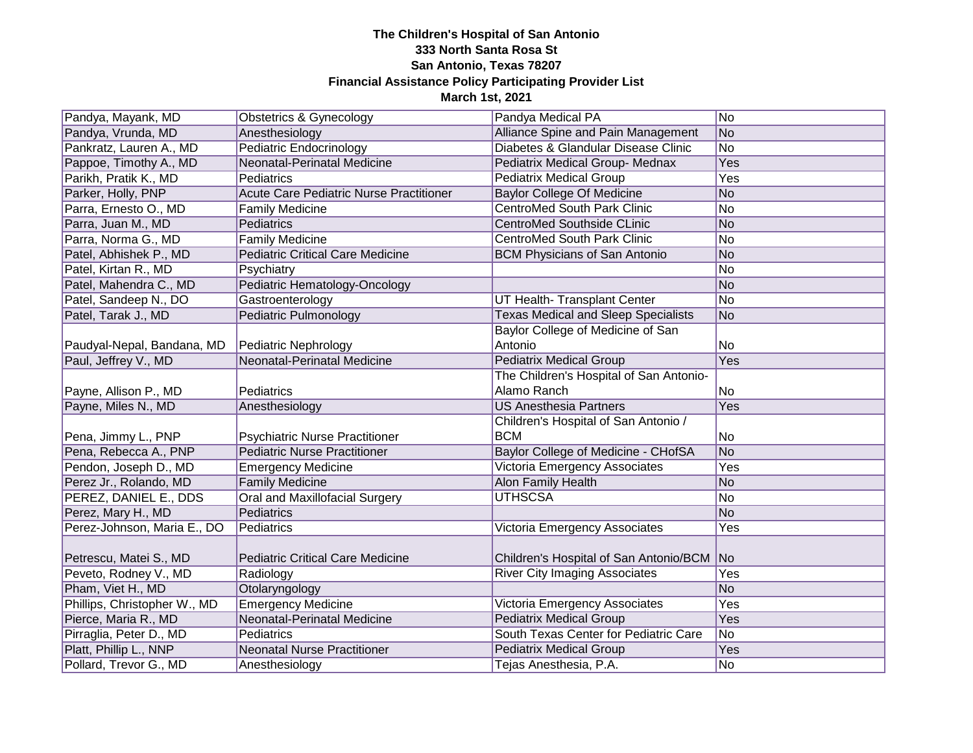| Pandya, Mayank, MD           | Obstetrics & Gynecology                 | Pandya Medical PA                          | N <sub>o</sub>  |
|------------------------------|-----------------------------------------|--------------------------------------------|-----------------|
| Pandya, Vrunda, MD           | Anesthesiology                          | Alliance Spine and Pain Management         | No              |
| Pankratz, Lauren A., MD      | Pediatric Endocrinology                 | Diabetes & Glandular Disease Clinic        | $\overline{No}$ |
| Pappoe, Timothy A., MD       | Neonatal-Perinatal Medicine             | Pediatrix Medical Group- Mednax            | Yes             |
| Parikh, Pratik K., MD        | Pediatrics                              | <b>Pediatrix Medical Group</b>             | Yes             |
| Parker, Holly, PNP           | Acute Care Pediatric Nurse Practitioner | <b>Baylor College Of Medicine</b>          | <b>No</b>       |
| Parra, Ernesto O., MD        | <b>Family Medicine</b>                  | <b>CentroMed South Park Clinic</b>         | <b>No</b>       |
| Parra, Juan M., MD           | Pediatrics                              | <b>CentroMed Southside CLinic</b>          | N <sub>o</sub>  |
| Parra, Norma G., MD          | <b>Family Medicine</b>                  | <b>CentroMed South Park Clinic</b>         | No              |
| Patel, Abhishek P., MD       | <b>Pediatric Critical Care Medicine</b> | <b>BCM Physicians of San Antonio</b>       | No              |
| Patel, Kirtan R., MD         | Psychiatry                              |                                            | No              |
| Patel, Mahendra C., MD       | Pediatric Hematology-Oncology           |                                            | No              |
| Patel, Sandeep N., DO        | Gastroenterology                        | UT Health- Transplant Center               | No              |
| Patel, Tarak J., MD          | Pediatric Pulmonology                   | <b>Texas Medical and Sleep Specialists</b> | N <sub>o</sub>  |
|                              |                                         | Baylor College of Medicine of San          |                 |
| Paudyal-Nepal, Bandana, MD   | Pediatric Nephrology                    | Antonio                                    | No.             |
| Paul, Jeffrey V., MD         | Neonatal-Perinatal Medicine             | <b>Pediatrix Medical Group</b>             | Yes             |
|                              |                                         | The Children's Hospital of San Antonio-    |                 |
| Payne, Allison P., MD        | <b>Pediatrics</b>                       | Alamo Ranch                                | No              |
| Payne, Miles N., MD          | Anesthesiology                          | <b>US Anesthesia Partners</b>              | Yes             |
|                              |                                         | Children's Hospital of San Antonio /       |                 |
| Pena, Jimmy L., PNP          | <b>Psychiatric Nurse Practitioner</b>   | <b>BCM</b>                                 | No              |
| Pena, Rebecca A., PNP        | <b>Pediatric Nurse Practitioner</b>     | Baylor College of Medicine - CHofSA        | No              |
| Pendon, Joseph D., MD        | <b>Emergency Medicine</b>               | Victoria Emergency Associates              | Yes             |
| Perez Jr., Rolando, MD       | <b>Family Medicine</b>                  | Alon Family Health                         | N <sub>o</sub>  |
| PEREZ, DANIEL E., DDS        | Oral and Maxillofacial Surgery          | <b>UTHSCSA</b>                             | <b>No</b>       |
| Perez, Mary H., MD           | Pediatrics                              |                                            | No              |
| Perez-Johnson, Maria E., DO  | Pediatrics                              | Victoria Emergency Associates              | Yes             |
|                              |                                         |                                            |                 |
| Petrescu, Matei S., MD       | <b>Pediatric Critical Care Medicine</b> | Children's Hospital of San Antonio/BCM     | No              |
| Peveto, Rodney V., MD        | Radiology                               | <b>River City Imaging Associates</b>       | Yes             |
| Pham, Viet H., MD            | Otolaryngology                          |                                            | <b>No</b>       |
| Phillips, Christopher W., MD | <b>Emergency Medicine</b>               | Victoria Emergency Associates              | Yes             |
| Pierce, Maria R., MD         | Neonatal-Perinatal Medicine             | <b>Pediatrix Medical Group</b>             | Yes             |
| Pirraglia, Peter D., MD      | Pediatrics                              | South Texas Center for Pediatric Care      | <b>No</b>       |
| Platt, Phillip L., NNP       | <b>Neonatal Nurse Practitioner</b>      | <b>Pediatrix Medical Group</b>             | Yes             |
| Pollard, Trevor G., MD       | Anesthesiology                          | Tejas Anesthesia, P.A.                     | <b>No</b>       |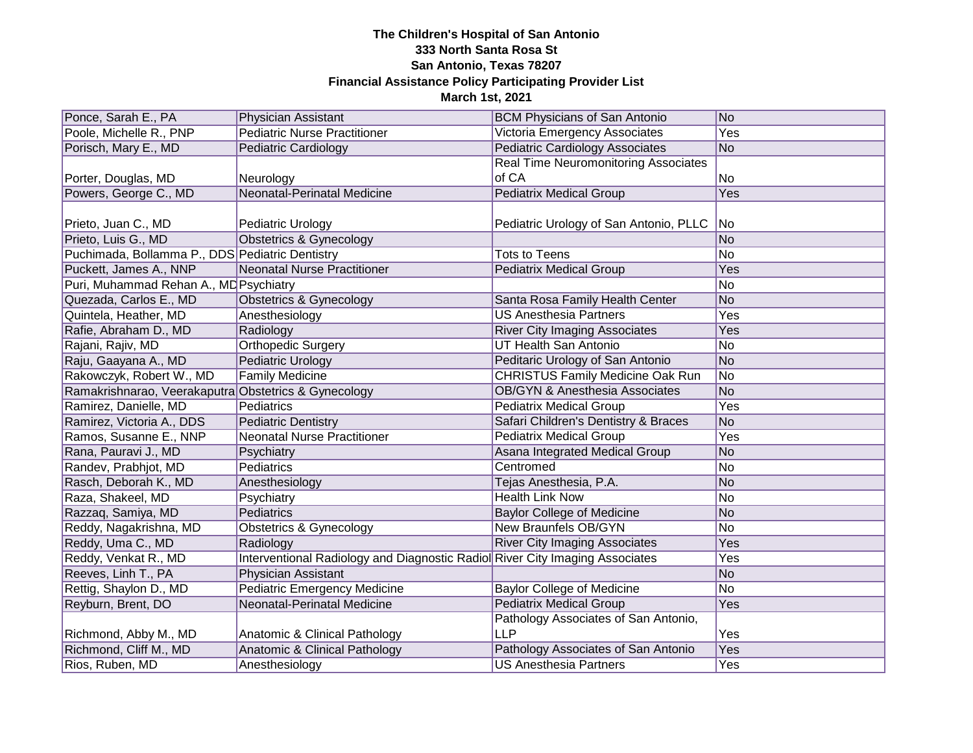| Ponce, Sarah E., PA                                  | <b>Physician Assistant</b>                                                   | <b>BCM Physicians of San Antonio</b>        | No              |
|------------------------------------------------------|------------------------------------------------------------------------------|---------------------------------------------|-----------------|
| Poole, Michelle R., PNP                              | <b>Pediatric Nurse Practitioner</b>                                          | Victoria Emergency Associates               | Yes             |
| Porisch, Mary E., MD                                 | <b>Pediatric Cardiology</b>                                                  | <b>Pediatric Cardiology Associates</b>      | No              |
|                                                      |                                                                              | Real Time Neuromonitoring Associates        |                 |
| Porter, Douglas, MD                                  | Neurology                                                                    | of CA                                       | No              |
| Powers, George C., MD                                | Neonatal-Perinatal Medicine                                                  | <b>Pediatrix Medical Group</b>              | Yes             |
|                                                      |                                                                              |                                             |                 |
| Prieto, Juan C., MD                                  | Pediatric Urology                                                            | Pediatric Urology of San Antonio, PLLC   No |                 |
| Prieto, Luis G., MD                                  | <b>Obstetrics &amp; Gynecology</b>                                           |                                             | No              |
| Puchimada, Bollamma P., DDS Pediatric Dentistry      |                                                                              | <b>Tots to Teens</b>                        | No              |
| Puckett, James A., NNP                               | Neonatal Nurse Practitioner                                                  | <b>Pediatrix Medical Group</b>              | Yes             |
| Puri, Muhammad Rehan A., MD Psychiatry               |                                                                              |                                             | No              |
| Quezada, Carlos E., MD                               | Obstetrics & Gynecology                                                      | Santa Rosa Family Health Center             | No              |
| Quintela, Heather, MD                                | Anesthesiology                                                               | <b>US Anesthesia Partners</b>               | Yes             |
| Rafie, Abraham D., MD                                | Radiology                                                                    | <b>River City Imaging Associates</b>        | Yes             |
| Rajani, Rajiv, MD                                    | <b>Orthopedic Surgery</b>                                                    | <b>UT Health San Antonio</b>                | No              |
| Raju, Gaayana A., MD                                 | <b>Pediatric Urology</b>                                                     | Peditaric Urology of San Antonio            | No              |
| Rakowczyk, Robert W., MD                             | <b>Family Medicine</b>                                                       | <b>CHRISTUS Family Medicine Oak Run</b>     | No.             |
| Ramakrishnarao, Veerakaputra Obstetrics & Gynecology |                                                                              | <b>OB/GYN &amp; Anesthesia Associates</b>   | No              |
| Ramirez, Danielle, MD                                | Pediatrics                                                                   | <b>Pediatrix Medical Group</b>              | Yes             |
| Ramirez, Victoria A., DDS                            | <b>Pediatric Dentistry</b>                                                   | Safari Children's Dentistry & Braces        | No              |
| Ramos, Susanne E., NNP                               | Neonatal Nurse Practitioner                                                  | <b>Pediatrix Medical Group</b>              | Yes             |
| Rana, Pauravi J., MD                                 | Psychiatry                                                                   | Asana Integrated Medical Group              | No              |
| Randev, Prabhjot, MD                                 | Pediatrics                                                                   | Centromed                                   | No              |
| Rasch, Deborah K., MD                                | Anesthesiology                                                               | Tejas Anesthesia, P.A.                      | No              |
| Raza, Shakeel, MD                                    | Psychiatry                                                                   | <b>Health Link Now</b>                      | No              |
| Razzaq, Samiya, MD                                   | Pediatrics                                                                   | <b>Baylor College of Medicine</b>           | No              |
| Reddy, Nagakrishna, MD                               | <b>Obstetrics &amp; Gynecology</b>                                           | <b>New Braunfels OB/GYN</b>                 | No              |
| Reddy, Uma C., MD                                    | Radiology                                                                    | <b>River City Imaging Associates</b>        | Yes             |
| Reddy, Venkat R., MD                                 | Interventional Radiology and Diagnostic Radiol River City Imaging Associates |                                             | Yes             |
| Reeves, Linh T., PA                                  | Physician Assistant                                                          |                                             | No              |
| Rettig, Shaylon D., MD                               | <b>Pediatric Emergency Medicine</b>                                          | <b>Baylor College of Medicine</b>           | $\overline{No}$ |
| Reyburn, Brent, DO                                   | Neonatal-Perinatal Medicine                                                  | <b>Pediatrix Medical Group</b>              | Yes             |
|                                                      |                                                                              | Pathology Associates of San Antonio,        |                 |
| Richmond, Abby M., MD                                | Anatomic & Clinical Pathology                                                | <b>LLP</b>                                  | Yes             |
| Richmond, Cliff M., MD                               | Anatomic & Clinical Pathology                                                | Pathology Associates of San Antonio         | Yes             |
| Rios, Ruben, MD                                      | Anesthesiology                                                               | <b>US Anesthesia Partners</b>               | Yes             |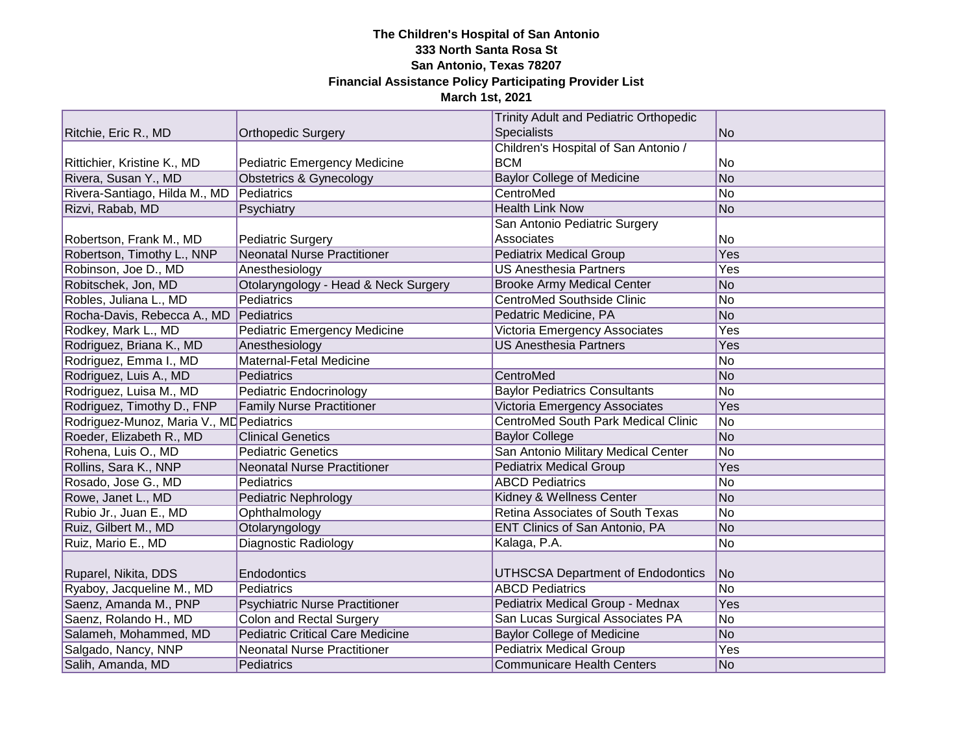|                                          |                                         | <b>Trinity Adult and Pediatric Orthopedic</b> |                |
|------------------------------------------|-----------------------------------------|-----------------------------------------------|----------------|
| Ritchie, Eric R., MD                     | <b>Orthopedic Surgery</b>               | Specialists                                   | No             |
|                                          |                                         | Children's Hospital of San Antonio /          |                |
| Rittichier, Kristine K., MD              | <b>Pediatric Emergency Medicine</b>     | <b>BCM</b>                                    | No             |
| Rivera, Susan Y., MD                     | <b>Obstetrics &amp; Gynecology</b>      | <b>Baylor College of Medicine</b>             | No             |
| Rivera-Santiago, Hilda M., MD            | Pediatrics                              | CentroMed                                     | No             |
| Rizvi, Rabab, MD                         | Psychiatry                              | <b>Health Link Now</b>                        | No             |
|                                          |                                         | San Antonio Pediatric Surgery                 |                |
| Robertson, Frank M., MD                  | <b>Pediatric Surgery</b>                | Associates                                    | No             |
| Robertson, Timothy L., NNP               | Neonatal Nurse Practitioner             | <b>Pediatrix Medical Group</b>                | Yes            |
| Robinson, Joe D., MD                     | Anesthesiology                          | <b>US Anesthesia Partners</b>                 | Yes            |
| Robitschek, Jon, MD                      | Otolaryngology - Head & Neck Surgery    | <b>Brooke Army Medical Center</b>             | No             |
| Robles, Juliana L., MD                   | Pediatrics                              | <b>CentroMed Southside Clinic</b>             | No             |
| Rocha-Davis, Rebecca A., MD              | Pediatrics                              | Pedatric Medicine, PA                         | No             |
| Rodkey, Mark L., MD                      | Pediatric Emergency Medicine            | <b>Victoria Emergency Associates</b>          | Yes            |
| Rodriguez, Briana K., MD                 | Anesthesiology                          | <b>US Anesthesia Partners</b>                 | Yes            |
| Rodriguez, Emma I., MD                   | Maternal-Fetal Medicine                 |                                               | No             |
| Rodriguez, Luis A., MD                   | Pediatrics                              | CentroMed                                     | No             |
| Rodriguez, Luisa M., MD                  | Pediatric Endocrinology                 | <b>Baylor Pediatrics Consultants</b>          | No             |
| Rodriguez, Timothy D., FNP               | <b>Family Nurse Practitioner</b>        | Victoria Emergency Associates                 | Yes            |
| Rodriguez-Munoz, Maria V., MD Pediatrics |                                         | CentroMed South Park Medical Clinic           | No             |
| Roeder, Elizabeth R., MD                 | <b>Clinical Genetics</b>                | <b>Baylor College</b>                         | No             |
| Rohena, Luis O., MD                      | <b>Pediatric Genetics</b>               | San Antonio Military Medical Center           | No             |
| Rollins, Sara K., NNP                    | <b>Neonatal Nurse Practitioner</b>      | <b>Pediatrix Medical Group</b>                | Yes            |
| Rosado, Jose G., MD                      | Pediatrics                              | <b>ABCD Pediatrics</b>                        | No             |
| Rowe, Janet L., MD                       | Pediatric Nephrology                    | Kidney & Wellness Center                      | N <sub>o</sub> |
| Rubio Jr., Juan E., MD                   | Ophthalmology                           | Retina Associates of South Texas              | No             |
| Ruiz, Gilbert M., MD                     | Otolaryngology                          | ENT Clinics of San Antonio, PA                | No             |
| Ruiz, Mario E., MD                       | <b>Diagnostic Radiology</b>             | Kalaga, P.A.                                  | No             |
|                                          |                                         |                                               |                |
| Ruparel, Nikita, DDS                     | Endodontics                             | UTHSCSA Department of Endodontics             | No             |
| Ryaboy, Jacqueline M., MD                | Pediatrics                              | <b>ABCD Pediatrics</b>                        | N <sub>o</sub> |
| Saenz, Amanda M., PNP                    | <b>Psychiatric Nurse Practitioner</b>   | Pediatrix Medical Group - Mednax              | Yes            |
| Saenz, Rolando H., MD                    | <b>Colon and Rectal Surgery</b>         | San Lucas Surgical Associates PA              | No             |
| Salameh, Mohammed, MD                    | <b>Pediatric Critical Care Medicine</b> | <b>Baylor College of Medicine</b>             | No             |
| Salgado, Nancy, NNP                      | <b>Neonatal Nurse Practitioner</b>      | <b>Pediatrix Medical Group</b>                | Yes            |
| Salih, Amanda, MD                        | Pediatrics                              | <b>Communicare Health Centers</b>             | No             |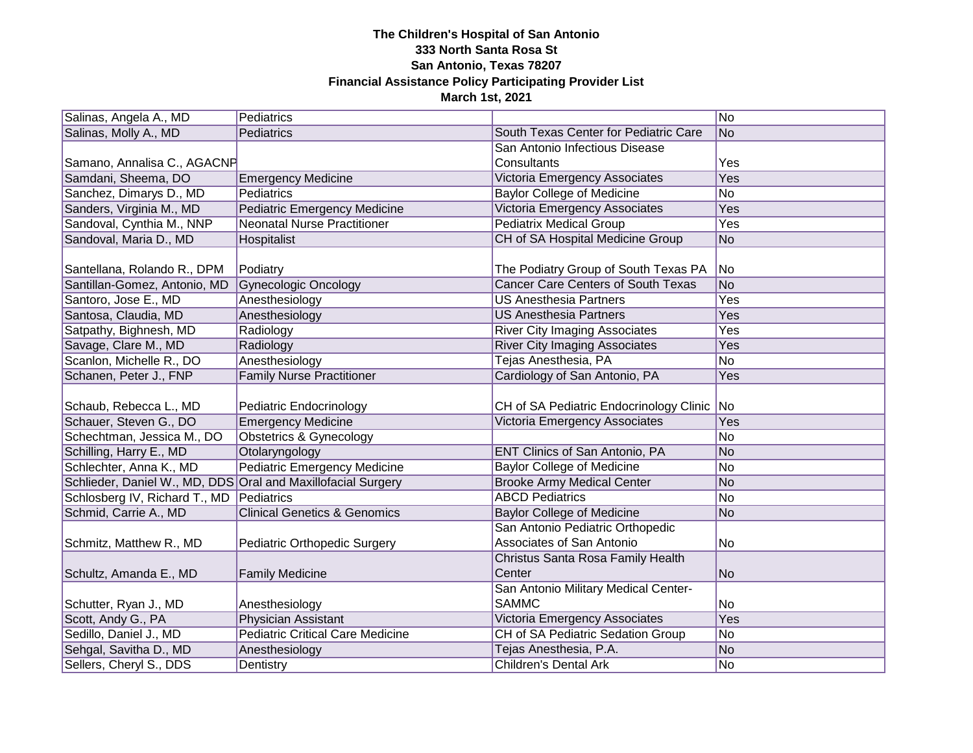| Salinas, Angela A., MD                                       | Pediatrics                              |                                            | No  |
|--------------------------------------------------------------|-----------------------------------------|--------------------------------------------|-----|
| Salinas, Molly A., MD                                        | Pediatrics                              | South Texas Center for Pediatric Care      | No  |
|                                                              |                                         | San Antonio Infectious Disease             |     |
| Samano, Annalisa C., AGACNF                                  |                                         | Consultants                                | Yes |
| Samdani, Sheema, DO                                          | <b>Emergency Medicine</b>               | Victoria Emergency Associates              | Yes |
| Sanchez, Dimarys D., MD                                      | Pediatrics                              | <b>Baylor College of Medicine</b>          | No  |
| Sanders, Virginia M., MD                                     | <b>Pediatric Emergency Medicine</b>     | Victoria Emergency Associates              | Yes |
| Sandoval, Cynthia M., NNP                                    | <b>Neonatal Nurse Practitioner</b>      | <b>Pediatrix Medical Group</b>             | Yes |
| Sandoval, Maria D., MD                                       | Hospitalist                             | CH of SA Hospital Medicine Group           | No  |
|                                                              |                                         |                                            |     |
| Santellana, Rolando R., DPM                                  | Podiatry                                | The Podiatry Group of South Texas PA       | No. |
| Santillan-Gomez, Antonio, MD                                 | <b>Gynecologic Oncology</b>             | <b>Cancer Care Centers of South Texas</b>  | No  |
| Santoro, Jose E., MD                                         | Anesthesiology                          | <b>US Anesthesia Partners</b>              | Yes |
| Santosa, Claudia, MD                                         | Anesthesiology                          | <b>US Anesthesia Partners</b>              | Yes |
| Satpathy, Bighnesh, MD                                       | Radiology                               | <b>River City Imaging Associates</b>       | Yes |
| Savage, Clare M., MD                                         | Radiology                               | <b>River City Imaging Associates</b>       | Yes |
| Scanlon, Michelle R., DO                                     | Anesthesiology                          | Tejas Anesthesia, PA                       | No  |
| Schanen, Peter J., FNP                                       | <b>Family Nurse Practitioner</b>        | Cardiology of San Antonio, PA              | Yes |
|                                                              |                                         |                                            |     |
| Schaub, Rebecca L., MD                                       | Pediatric Endocrinology                 | CH of SA Pediatric Endocrinology Clinic No |     |
| Schauer, Steven G., DO                                       | <b>Emergency Medicine</b>               | <b>Victoria Emergency Associates</b>       | Yes |
| Schechtman, Jessica M., DO                                   | <b>Obstetrics &amp; Gynecology</b>      |                                            | No  |
| Schilling, Harry E., MD                                      | Otolaryngology                          | ENT Clinics of San Antonio, PA             | No  |
| Schlechter, Anna K., MD                                      | <b>Pediatric Emergency Medicine</b>     | <b>Baylor College of Medicine</b>          | No  |
| Schlieder, Daniel W., MD, DDS Oral and Maxillofacial Surgery |                                         | <b>Brooke Army Medical Center</b>          | No  |
| Schlosberg IV, Richard T., MD                                | Pediatrics                              | <b>ABCD Pediatrics</b>                     | No  |
| Schmid, Carrie A., MD                                        | <b>Clinical Genetics &amp; Genomics</b> | <b>Baylor College of Medicine</b>          | No  |
|                                                              |                                         | San Antonio Pediatric Orthopedic           |     |
| Schmitz, Matthew R., MD                                      | Pediatric Orthopedic Surgery            | Associates of San Antonio                  | No  |
|                                                              |                                         | Christus Santa Rosa Family Health          |     |
| Schultz, Amanda E., MD                                       | <b>Family Medicine</b>                  | Center                                     | No  |
|                                                              |                                         | San Antonio Military Medical Center-       |     |
| Schutter, Ryan J., MD                                        | Anesthesiology                          | <b>SAMMC</b>                               | No  |
| Scott, Andy G., PA                                           | Physician Assistant                     | Victoria Emergency Associates              | Yes |
| Sedillo, Daniel J., MD                                       | <b>Pediatric Critical Care Medicine</b> | CH of SA Pediatric Sedation Group          | No  |
| Sehgal, Savitha D., MD                                       | Anesthesiology                          | Tejas Anesthesia, P.A.                     | No  |
| Sellers, Cheryl S., DDS                                      | Dentistry                               | <b>Children's Dental Ark</b>               | No  |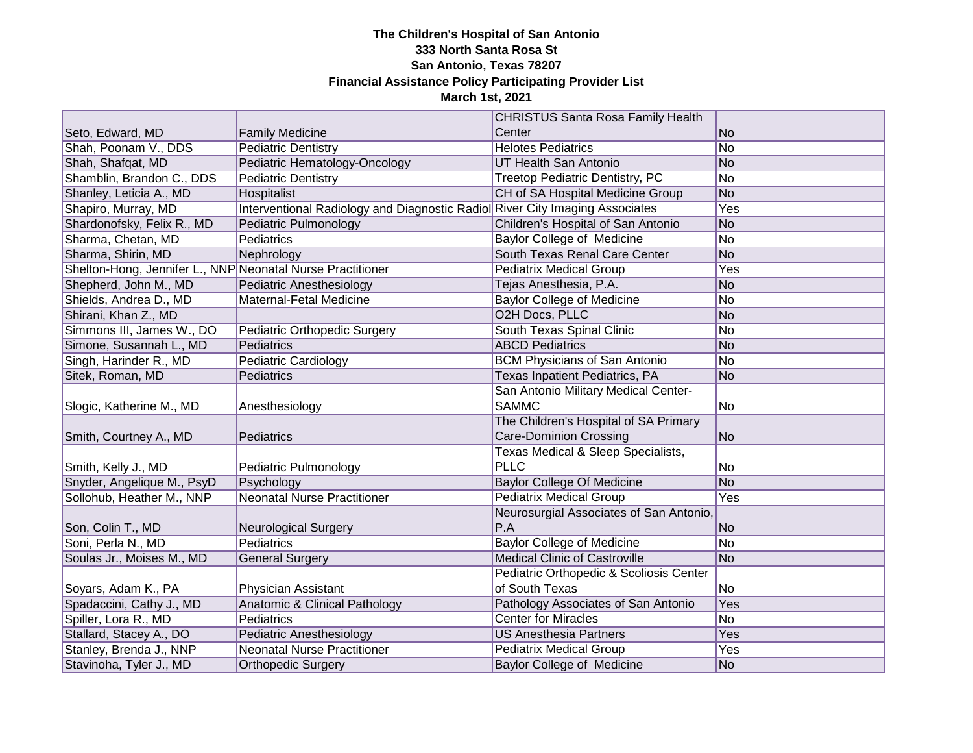|                                                            |                                                                              | <b>CHRISTUS Santa Rosa Family Health</b> |                |
|------------------------------------------------------------|------------------------------------------------------------------------------|------------------------------------------|----------------|
| Seto, Edward, MD                                           | <b>Family Medicine</b>                                                       | Center                                   | No             |
| Shah, Poonam V., DDS                                       | <b>Pediatric Dentistry</b>                                                   | <b>Helotes Pediatrics</b>                | No             |
| Shah, Shafqat, MD                                          | Pediatric Hematology-Oncology                                                | UT Health San Antonio                    | No             |
| Shamblin, Brandon C., DDS                                  | <b>Pediatric Dentistry</b>                                                   | Treetop Pediatric Dentistry, PC          | N <sub>o</sub> |
| Shanley, Leticia A., MD                                    | Hospitalist                                                                  | CH of SA Hospital Medicine Group         | No             |
| Shapiro, Murray, MD                                        | Interventional Radiology and Diagnostic Radiol River City Imaging Associates |                                          | Yes            |
| Shardonofsky, Felix R., MD                                 | Pediatric Pulmonology                                                        | Children's Hospital of San Antonio       | No             |
| Sharma, Chetan, MD                                         | Pediatrics                                                                   | Baylor College of Medicine               | No             |
| Sharma, Shirin, MD                                         | Nephrology                                                                   | South Texas Renal Care Center            | No             |
| Shelton-Hong, Jennifer L., NNP Neonatal Nurse Practitioner |                                                                              | <b>Pediatrix Medical Group</b>           | Yes            |
| Shepherd, John M., MD                                      | <b>Pediatric Anesthesiology</b>                                              | Tejas Anesthesia, P.A.                   | No             |
| Shields, Andrea D., MD                                     | Maternal-Fetal Medicine                                                      | <b>Baylor College of Medicine</b>        | No             |
| Shirani, Khan Z., MD                                       |                                                                              | <b>O2H Docs, PLLC</b>                    | No             |
| Simmons III, James W., DO                                  | Pediatric Orthopedic Surgery                                                 | South Texas Spinal Clinic                | No             |
| Simone, Susannah L., MD                                    | Pediatrics                                                                   | <b>ABCD Pediatrics</b>                   | No             |
| Singh, Harinder R., MD                                     | <b>Pediatric Cardiology</b>                                                  | <b>BCM Physicians of San Antonio</b>     | No             |
| Sitek, Roman, MD                                           | Pediatrics                                                                   | Texas Inpatient Pediatrics, PA           | No             |
|                                                            |                                                                              | San Antonio Military Medical Center-     |                |
| Slogic, Katherine M., MD                                   | Anesthesiology                                                               | <b>SAMMC</b>                             | No             |
|                                                            |                                                                              | The Children's Hospital of SA Primary    |                |
| Smith, Courtney A., MD                                     | Pediatrics                                                                   | <b>Care-Dominion Crossing</b>            | No             |
|                                                            |                                                                              | Texas Medical & Sleep Specialists,       |                |
| Smith, Kelly J., MD                                        | Pediatric Pulmonology                                                        | <b>PLLC</b>                              | No             |
| Snyder, Angelique M., PsyD                                 | Psychology                                                                   | <b>Baylor College Of Medicine</b>        | No             |
| Sollohub, Heather M., NNP                                  | <b>Neonatal Nurse Practitioner</b>                                           | <b>Pediatrix Medical Group</b>           | Yes            |
|                                                            |                                                                              | Neurosurgial Associates of San Antonio,  |                |
| Son, Colin T., MD                                          | <b>Neurological Surgery</b>                                                  | P.A                                      | No             |
| Soni, Perla N., MD                                         | Pediatrics                                                                   | <b>Baylor College of Medicine</b>        | N <sub>o</sub> |
| Soulas Jr., Moises M., MD                                  | <b>General Surgery</b>                                                       | <b>Medical Clinic of Castroville</b>     | No             |
|                                                            |                                                                              | Pediatric Orthopedic & Scoliosis Center  |                |
| Soyars, Adam K., PA                                        | Physician Assistant                                                          | of South Texas                           | No             |
| Spadaccini, Cathy J., MD                                   | Anatomic & Clinical Pathology                                                | Pathology Associates of San Antonio      | Yes            |
| Spiller, Lora R., MD                                       | Pediatrics                                                                   | <b>Center for Miracles</b>               | No             |
| Stallard, Stacey A., DO                                    | <b>Pediatric Anesthesiology</b>                                              | <b>US Anesthesia Partners</b>            | Yes            |
| Stanley, Brenda J., NNP                                    | <b>Neonatal Nurse Practitioner</b>                                           | <b>Pediatrix Medical Group</b>           | Yes            |
| Stavinoha, Tyler J., MD                                    | <b>Orthopedic Surgery</b>                                                    | Baylor College of Medicine               | No             |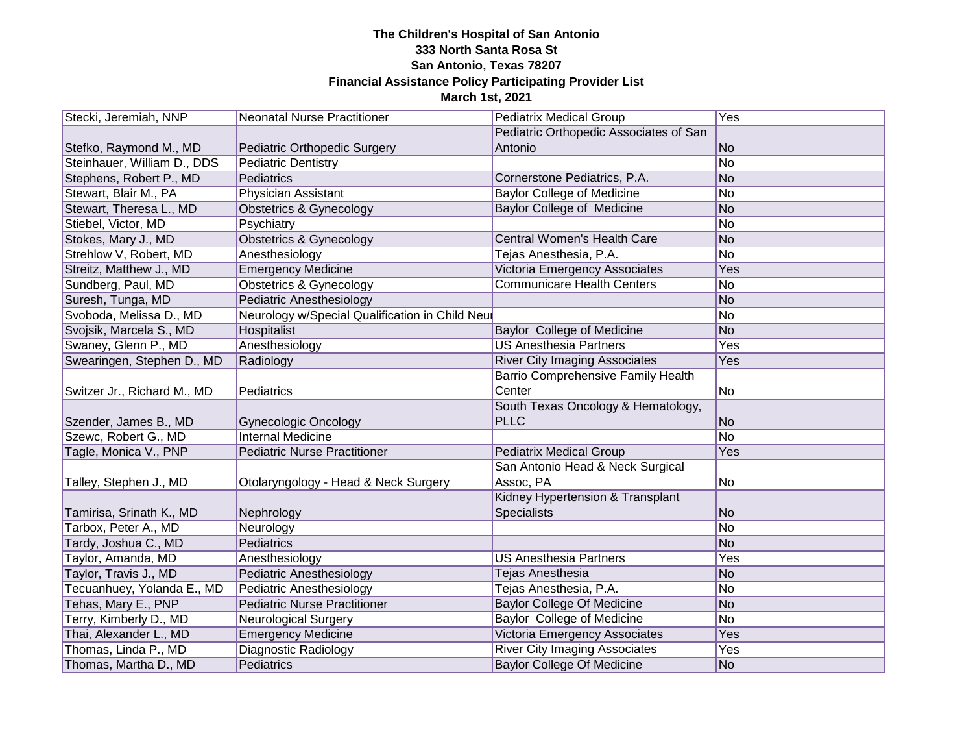| Stecki, Jeremiah, NNP       | <b>Neonatal Nurse Practitioner</b>             | <b>Pediatrix Medical Group</b>            | <b>Yes</b>      |
|-----------------------------|------------------------------------------------|-------------------------------------------|-----------------|
|                             |                                                | Pediatric Orthopedic Associates of San    |                 |
| Stefko, Raymond M., MD      | Pediatric Orthopedic Surgery                   | Antonio                                   | <b>No</b>       |
| Steinhauer, William D., DDS | <b>Pediatric Dentistry</b>                     |                                           | <b>No</b>       |
| Stephens, Robert P., MD     | Pediatrics                                     | Cornerstone Pediatrics, P.A.              | <b>No</b>       |
| Stewart, Blair M., PA       | Physician Assistant                            | <b>Baylor College of Medicine</b>         | No              |
| Stewart, Theresa L., MD     | <b>Obstetrics &amp; Gynecology</b>             | <b>Baylor College of Medicine</b>         | <b>No</b>       |
| Stiebel, Victor, MD         | Psychiatry                                     |                                           | No              |
| Stokes, Mary J., MD         | <b>Obstetrics &amp; Gynecology</b>             | Central Women's Health Care               | <b>No</b>       |
| Strehlow V, Robert, MD      | Anesthesiology                                 | Tejas Anesthesia, P.A.                    | No              |
| Streitz, Matthew J., MD     | <b>Emergency Medicine</b>                      | <b>Victoria Emergency Associates</b>      | Yes             |
| Sundberg, Paul, MD          | <b>Obstetrics &amp; Gynecology</b>             | <b>Communicare Health Centers</b>         | No              |
| Suresh, Tunga, MD           | <b>Pediatric Anesthesiology</b>                |                                           | <b>No</b>       |
| Svoboda, Melissa D., MD     | Neurology w/Special Qualification in Child Neu |                                           | No              |
| Svojsik, Marcela S., MD     | Hospitalist                                    | Baylor College of Medicine                | <b>No</b>       |
| Swaney, Glenn P., MD        | Anesthesiology                                 | <b>US Anesthesia Partners</b>             | Yes             |
| Swearingen, Stephen D., MD  | Radiology                                      | <b>River City Imaging Associates</b>      | Yes             |
|                             |                                                | <b>Barrio Comprehensive Family Health</b> |                 |
| Switzer Jr., Richard M., MD | Pediatrics                                     | Center                                    | No              |
|                             |                                                | South Texas Oncology & Hematology,        |                 |
| Szender, James B., MD       | <b>Gynecologic Oncology</b>                    | <b>PLLC</b>                               | <b>No</b>       |
| Szewc, Robert G., MD        | <b>Internal Medicine</b>                       |                                           | No              |
| Tagle, Monica V., PNP       | <b>Pediatric Nurse Practitioner</b>            | <b>Pediatrix Medical Group</b>            | Yes             |
|                             |                                                | San Antonio Head & Neck Surgical          |                 |
| Talley, Stephen J., MD      | Otolaryngology - Head & Neck Surgery           | Assoc, PA                                 | No              |
|                             |                                                | Kidney Hypertension & Transplant          |                 |
| Tamirisa, Srinath K., MD    | Nephrology                                     | Specialists                               | <b>No</b>       |
| Tarbox, Peter A., MD        | Neurology                                      |                                           | $\overline{No}$ |
| Tardy, Joshua C., MD        | Pediatrics                                     |                                           | <b>No</b>       |
| <b>Taylor, Amanda, MD</b>   | Anesthesiology                                 | <b>US Anesthesia Partners</b>             | Yes             |
| Taylor, Travis J., MD       | <b>Pediatric Anesthesiology</b>                | Tejas Anesthesia                          | <b>No</b>       |
| Tecuanhuey, Yolanda E., MD  | Pediatric Anesthesiology                       | Tejas Anesthesia, P.A.                    | No              |
| Tehas, Mary E., PNP         | <b>Pediatric Nurse Practitioner</b>            | <b>Baylor College Of Medicine</b>         | <b>No</b>       |
| Terry, Kimberly D., MD      | <b>Neurological Surgery</b>                    | Baylor College of Medicine                | No              |
| Thai, Alexander L., MD      | <b>Emergency Medicine</b>                      | Victoria Emergency Associates             | Yes             |
| Thomas, Linda P., MD        | Diagnostic Radiology                           | <b>River City Imaging Associates</b>      | Yes             |
| Thomas, Martha D., MD       | Pediatrics                                     | <b>Baylor College Of Medicine</b>         | N <sub>o</sub>  |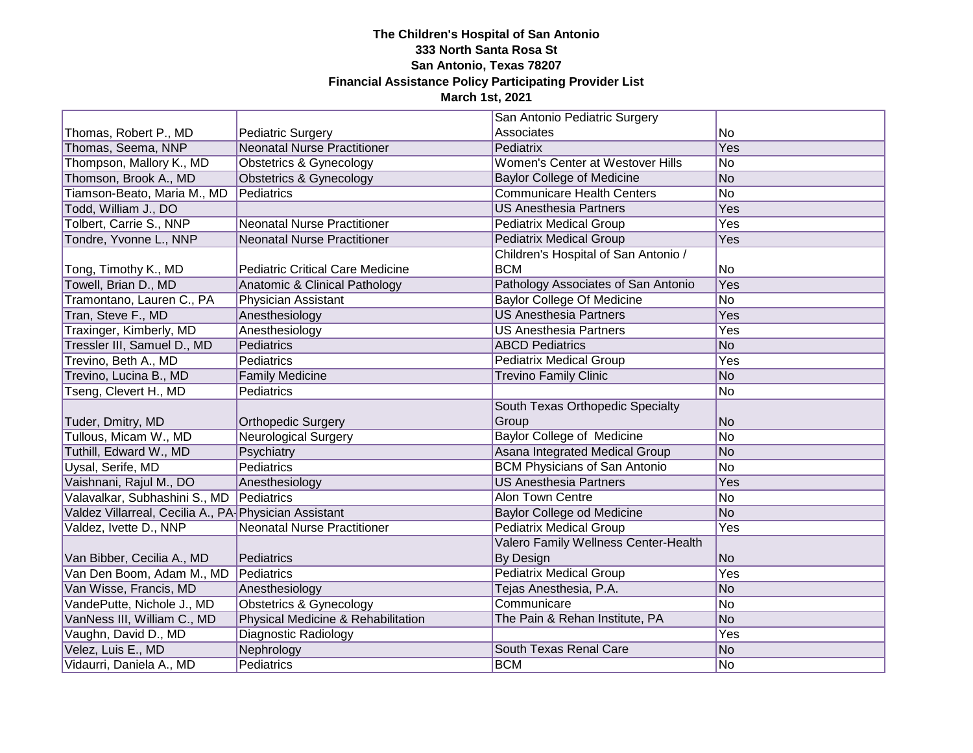|                                                        |                                         | San Antonio Pediatric Surgery        |                |
|--------------------------------------------------------|-----------------------------------------|--------------------------------------|----------------|
| Thomas, Robert P., MD                                  | <b>Pediatric Surgery</b>                | Associates                           | No             |
| Thomas, Seema, NNP                                     | <b>Neonatal Nurse Practitioner</b>      | Pediatrix                            | Yes            |
| Thompson, Mallory K., MD                               | <b>Obstetrics &amp; Gynecology</b>      | Women's Center at Westover Hills     | <b>No</b>      |
| Thomson, Brook A., MD                                  | <b>Obstetrics &amp; Gynecology</b>      | <b>Baylor College of Medicine</b>    | <b>No</b>      |
| Tiamson-Beato, Maria M., MD                            | Pediatrics                              | <b>Communicare Health Centers</b>    | <b>No</b>      |
| Todd, William J., DO                                   |                                         | <b>US Anesthesia Partners</b>        | Yes            |
| Tolbert, Carrie S., NNP                                | <b>Neonatal Nurse Practitioner</b>      | <b>Pediatrix Medical Group</b>       | Yes            |
| Tondre, Yvonne L., NNP                                 | <b>Neonatal Nurse Practitioner</b>      | <b>Pediatrix Medical Group</b>       | Yes            |
|                                                        |                                         | Children's Hospital of San Antonio / |                |
| Tong, Timothy K., MD                                   | <b>Pediatric Critical Care Medicine</b> | <b>BCM</b>                           | No             |
| Towell, Brian D., MD                                   | Anatomic & Clinical Pathology           | Pathology Associates of San Antonio  | Yes            |
| Tramontano, Lauren C., PA                              | Physician Assistant                     | <b>Baylor College Of Medicine</b>    | <b>No</b>      |
| Tran, Steve F., MD                                     | Anesthesiology                          | <b>US Anesthesia Partners</b>        | Yes            |
| Traxinger, Kimberly, MD                                | Anesthesiology                          | <b>US Anesthesia Partners</b>        | Yes            |
| Tressler III, Samuel D., MD                            | Pediatrics                              | <b>ABCD Pediatrics</b>               | <b>No</b>      |
| Trevino, Beth A., MD                                   | Pediatrics                              | <b>Pediatrix Medical Group</b>       | Yes            |
| Trevino, Lucina B., MD                                 | <b>Family Medicine</b>                  | <b>Trevino Family Clinic</b>         | No             |
| Tseng, Clevert H., MD                                  | Pediatrics                              |                                      | No             |
|                                                        |                                         | South Texas Orthopedic Specialty     |                |
| Tuder, Dmitry, MD                                      | <b>Orthopedic Surgery</b>               | Group                                | N <sub>o</sub> |
| Tullous, Micam W., MD                                  | <b>Neurological Surgery</b>             | <b>Baylor College of Medicine</b>    | <b>No</b>      |
| Tuthill, Edward W., MD                                 | Psychiatry                              | Asana Integrated Medical Group       | No             |
| Uysal, Serife, MD                                      | Pediatrics                              | <b>BCM Physicians of San Antonio</b> | <b>No</b>      |
| Vaishnani, Rajul M., DO                                | Anesthesiology                          | <b>US Anesthesia Partners</b>        | Yes            |
| Valavalkar, Subhashini S., MD                          | Pediatrics                              | <b>Alon Town Centre</b>              | No             |
| Valdez Villarreal, Cecilia A., PA- Physician Assistant |                                         | Baylor College od Medicine           | No             |
| Valdez, Ivette D., NNP                                 | <b>Neonatal Nurse Practitioner</b>      | <b>Pediatrix Medical Group</b>       | <b>Yes</b>     |
|                                                        |                                         | Valero Family Wellness Center-Health |                |
| Van Bibber, Cecilia A., MD                             | Pediatrics                              | By Design                            | <b>No</b>      |
| Van Den Boom, Adam M., MD                              | Pediatrics                              | <b>Pediatrix Medical Group</b>       | Yes            |
| Van Wisse, Francis, MD                                 | Anesthesiology                          | Tejas Anesthesia, P.A.               | No             |
| VandePutte, Nichole J., MD                             | <b>Obstetrics &amp; Gynecology</b>      | Communicare                          | No             |
| VanNess III, William C., MD                            | Physical Medicine & Rehabilitation      | The Pain & Rehan Institute, PA       | N <sub>o</sub> |
| Vaughn, David D., MD                                   | Diagnostic Radiology                    |                                      | Yes            |
| Velez, Luis E., MD                                     | Nephrology                              | South Texas Renal Care               | No             |
| Vidaurri, Daniela A., MD                               | Pediatrics                              | <b>BCM</b>                           | No             |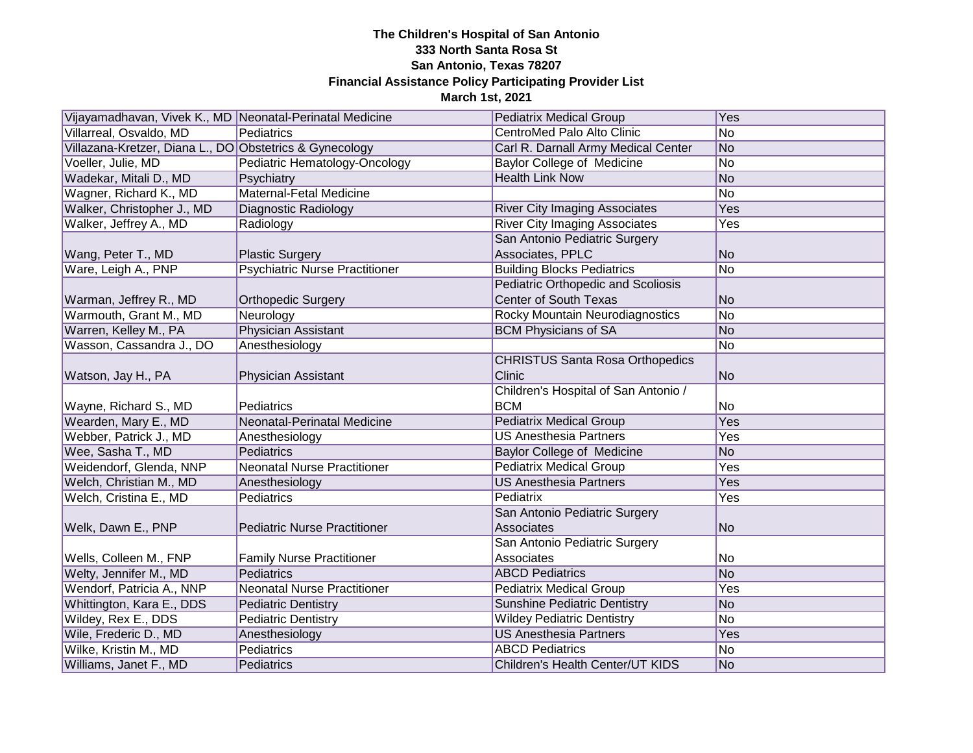| Vijayamadhavan, Vivek K., MD Neonatal-Perinatal Medicine |                                       | <b>Pediatrix Medical Group</b>            | Yes             |
|----------------------------------------------------------|---------------------------------------|-------------------------------------------|-----------------|
| Villarreal, Osvaldo, MD                                  | Pediatrics                            | CentroMed Palo Alto Clinic                | No              |
| Villazana-Kretzer, Diana L., DO Obstetrics & Gynecology  |                                       | Carl R. Darnall Army Medical Center       | No              |
| Voeller, Julie, MD                                       | Pediatric Hematology-Oncology         | <b>Baylor College of Medicine</b>         | <b>No</b>       |
| Wadekar, Mitali D., MD                                   | Psychiatry                            | <b>Health Link Now</b>                    | No              |
| Wagner, Richard K., MD                                   | Maternal-Fetal Medicine               |                                           | No              |
| Walker, Christopher J., MD                               | Diagnostic Radiology                  | <b>River City Imaging Associates</b>      | Yes             |
| Walker, Jeffrey A., MD                                   | Radiology                             | <b>River City Imaging Associates</b>      | Yes             |
|                                                          |                                       | San Antonio Pediatric Surgery             |                 |
| Wang, Peter T., MD                                       | <b>Plastic Surgery</b>                | Associates, PPLC                          | <b>No</b>       |
| Ware, Leigh A., PNP                                      | <b>Psychiatric Nurse Practitioner</b> | <b>Building Blocks Pediatrics</b>         | No              |
|                                                          |                                       | <b>Pediatric Orthopedic and Scoliosis</b> |                 |
| Warman, Jeffrey R., MD                                   | <b>Orthopedic Surgery</b>             | <b>Center of South Texas</b>              | <b>No</b>       |
| Warmouth, Grant M., MD                                   | Neurology                             | Rocky Mountain Neurodiagnostics           | <b>No</b>       |
| Warren, Kelley M., PA                                    | Physician Assistant                   | <b>BCM Physicians of SA</b>               | N <sub>o</sub>  |
| Wasson, Cassandra J., DO                                 | Anesthesiology                        |                                           | <b>No</b>       |
|                                                          |                                       | <b>CHRISTUS Santa Rosa Orthopedics</b>    |                 |
| Watson, Jay H., PA                                       | Physician Assistant                   | Clinic                                    | No              |
|                                                          |                                       | Children's Hospital of San Antonio /      |                 |
| Wayne, Richard S., MD                                    | Pediatrics                            | <b>BCM</b>                                | No              |
| Wearden, Mary E., MD                                     | Neonatal-Perinatal Medicine           | <b>Pediatrix Medical Group</b>            | Yes             |
| Webber, Patrick J., MD                                   | Anesthesiology                        | <b>US Anesthesia Partners</b>             | Yes             |
| Wee, Sasha T., MD                                        | Pediatrics                            | Baylor College of Medicine                | <b>No</b>       |
| Weidendorf, Glenda, NNP                                  | <b>Neonatal Nurse Practitioner</b>    | <b>Pediatrix Medical Group</b>            | Yes             |
| Welch, Christian M., MD                                  | Anesthesiology                        | <b>US Anesthesia Partners</b>             | Yes             |
| Welch, Cristina E., MD                                   | Pediatrics                            | Pediatrix                                 | Yes             |
|                                                          |                                       | San Antonio Pediatric Surgery             |                 |
| Welk, Dawn E., PNP                                       | <b>Pediatric Nurse Practitioner</b>   | Associates                                | <b>No</b>       |
|                                                          |                                       | San Antonio Pediatric Surgery             |                 |
| Wells, Colleen M., FNP                                   | <b>Family Nurse Practitioner</b>      | Associates                                | No              |
| Welty, Jennifer M., MD                                   | Pediatrics                            | <b>ABCD Pediatrics</b>                    | $\overline{No}$ |
| Wendorf, Patricia A., NNP                                | <b>Neonatal Nurse Practitioner</b>    | <b>Pediatrix Medical Group</b>            | Yes             |
| Whittington, Kara E., DDS                                | <b>Pediatric Dentistry</b>            | <b>Sunshine Pediatric Dentistry</b>       | <b>No</b>       |
| Wildey, Rex E., DDS                                      | <b>Pediatric Dentistry</b>            | <b>Wildey Pediatric Dentistry</b>         | No              |
| Wile, Frederic D., MD                                    | Anesthesiology                        | <b>US Anesthesia Partners</b>             | Yes             |
| Wilke, Kristin M., MD                                    | Pediatrics                            | <b>ABCD Pediatrics</b>                    | No              |
| Williams, Janet F., MD                                   | Pediatrics                            | Children's Health Center/UT KIDS          | No              |